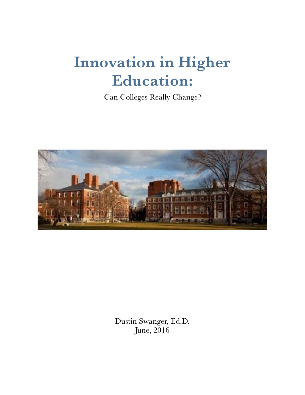# **Innovation in Higher Education:**

Can Colleges Really Change?



Dustin Swanger, Ed.D. June, 2016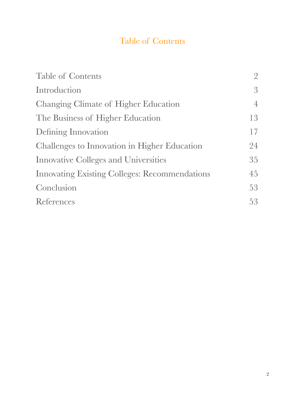# Table of Contents

| <b>Table of Contents</b>                             |                |
|------------------------------------------------------|----------------|
| Introduction                                         | $\mathcal{S}$  |
| Changing Climate of Higher Education                 | $\overline{4}$ |
| The Business of Higher Education                     | 13             |
| Defining Innovation                                  | 17             |
| Challenges to Innovation in Higher Education         | 24             |
| <b>Innovative Colleges and Universities</b>          | 35             |
| <b>Innovating Existing Colleges: Recommendations</b> | 45             |
| Conclusion                                           | 53             |
| References                                           | 53             |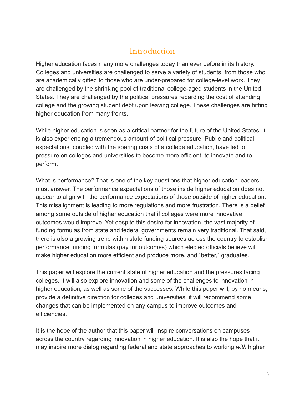## **Introduction**

Higher education faces many more challenges today than ever before in its history. Colleges and universities are challenged to serve a variety of students, from those who are academically gifted to those who are under-prepared for college-level work. They are challenged by the shrinking pool of traditional college-aged students in the United States. They are challenged by the political pressures regarding the cost of attending college and the growing student debt upon leaving college. These challenges are hitting higher education from many fronts.

While higher education is seen as a critical partner for the future of the United States, it is also experiencing a tremendous amount of political pressure. Public and political expectations, coupled with the soaring costs of a college education, have led to pressure on colleges and universities to become more efficient, to innovate and to perform.

What is performance? That is one of the key questions that higher education leaders must answer. The performance expectations of those inside higher education does not appear to align with the performance expectations of those outside of higher education. This misalignment is leading to more regulations and more frustration. There is a belief among some outside of higher education that if colleges were more innovative outcomes would improve. Yet despite this desire for innovation, the vast majority of funding formulas from state and federal governments remain very traditional. That said, there is also a growing trend within state funding sources across the country to establish performance funding formulas (pay for outcomes) which elected officials believe will make higher education more efficient and produce more, and "better," graduates.

This paper will explore the current state of higher education and the pressures facing colleges. It will also explore innovation and some of the challenges to innovation in higher education, as well as some of the successes. While this paper will, by no means, provide a definitive direction for colleges and universities, it will recommend some changes that can be implemented on any campus to improve outcomes and efficiencies.

It is the hope of the author that this paper will inspire conversations on campuses across the country regarding innovation in higher education. It is also the hope that it may inspire more dialog regarding federal and state approaches to working *with* higher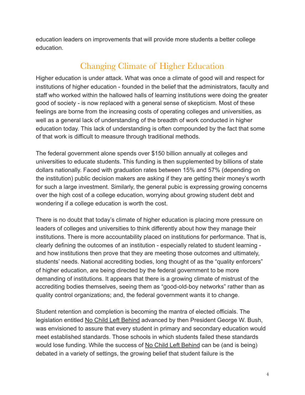education leaders on improvements that will provide more students a better college education.

# Changing Climate of Higher Education

Higher education is under attack. What was once a climate of good will and respect for institutions of higher education - founded in the belief that the administrators, faculty and staff who worked within the hallowed halls of learning institutions were doing the greater good of society - is now replaced with a general sense of skepticism. Most of these feelings are borne from the increasing costs of operating colleges and universities, as well as a general lack of understanding of the breadth of work conducted in higher education today. This lack of understanding is often compounded by the fact that some of that work is difficult to measure through traditional methods.

The federal government alone spends over \$150 billion annually at colleges and universities to educate students. This funding is then supplemented by billions of state dollars nationally. Faced with graduation rates between 15% and 57% (depending on the institution) public decision makers are asking if they are getting their money's worth for such a large investment. Similarly, the general pubic is expressing growing concerns over the high cost of a college education, worrying about growing student debt and wondering if a college education is worth the cost.

There is no doubt that today's climate of higher education is placing more pressure on leaders of colleges and universities to think differently about how they manage their institutions. There is more accountability placed on institutions for performance. That is, clearly defining the outcomes of an institution - especially related to student learning and how institutions then prove that they are meeting those outcomes and ultimately, students' needs. National accrediting bodies, long thought of as the "quality enforcers" of higher education, are being directed by the federal government to be more demanding of institutions. It appears that there is a growing climate of mistrust of the accrediting bodies themselves, seeing them as "good-old-boy networks" rather than as quality control organizations; and, the federal government wants it to change.

Student retention and completion is becoming the mantra of elected officials. The legislation entitled No Child Left Behind advanced by then President George W. Bush, was envisioned to assure that every student in primary and secondary education would meet established standards. Those schools in which students failed these standards would lose funding. While the success of No Child Left Behind can be (and is being) debated in a variety of settings, the growing belief that student failure is the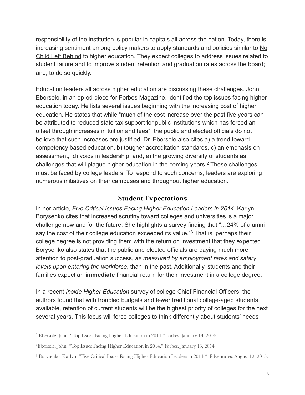responsibility of the institution is popular in capitals all across the nation. Today, there is increasing sentiment among policy makers to apply standards and policies similar to No Child Left Behind to higher education. They expect colleges to address issues related to student failure and to improve student retention and graduation rates across the board; and, to do so quickly.

Education leaders all across higher education are discussing these challenges. John Ebersole, in an op-ed piece for Forbes Magazine, identified the top issues facing higher education today. He lists several issues beginning with the increasing cost of higher education. He states that while "much of the cost increase over the past five years can be attributed to reduced state tax support for public institutions which has forced an offset through increases in tuition and fees<sup>"[1](#page-4-0)</sup> the public and elected officials do not believe that such increases are justified. Dr. Ebersole also cites a) a trend toward competency based education, b) tougher accreditation standards, c) an emphasis on assessment, d) voids in leadership, and, e) the growing diversity of students as challenges that will plague higher education in the coming years.<sup>[2](#page-4-1)</sup> These challenges must be faced by college leaders. To respond to such concerns, leaders are exploring numerous initiatives on their campuses and throughout higher education.

#### <span id="page-4-5"></span><span id="page-4-4"></span><span id="page-4-3"></span>**Student Expectations**

In her article, *Five Critical Issues Facing Higher Education Leaders in 2014*, Karlyn Borysenko cites that increased scrutiny toward colleges and universities is a major challenge now and for the future. She highlights a survey finding that "…24% of alumni say the cost of their college education exceeded its value."<sup>[3](#page-4-2)</sup> That is, perhaps their college degree is not providing them with the return on investment that they expected. Borysenko also states that the public and elected officials are paying much more attention to post-graduation success, *as measured by employment rates and salary levels upon entering the workforce*, than in the past. Additionally, students and their families expect an **immediate** financial return for their investment in a college degree.

In a recent *Inside Higher Education* survey of college Chief Financial Officers, the authors found that with troubled budgets and fewer traditional college-aged students available, retention of current students will be the highest priority of colleges for the next several years. This focus will force colleges to think differently about students' needs

<span id="page-4-0"></span><sup>&</sup>lt;sup>[1](#page-4-3)</sup> Ebersole, John. "Top Issues Facing Higher Education in 2014." Forbes. January 13, 2014.

<span id="page-4-1"></span>Ebersole, John. "Top Issues Facing Higher Education in 2014." Forbes. January 13, 2014. [2](#page-4-4)

<span id="page-4-2"></span><sup>&</sup>lt;sup>[3](#page-4-5)</sup> Borysenko, Karlyn. "Five Critical Issues Facing Higher Education Leaders in 2014." Edventures. August 12, 2015.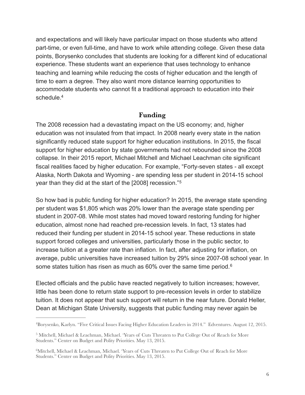and expectations and will likely have particular impact on those students who attend part-time, or even full-time, and have to work while attending college. Given these data points, Borysenko concludes that students are looking for a different kind of educational experience. These students want an experience that uses technology to enhance teaching and learning while reducing the costs of higher education and the length of time to earn a degree. They also want more distance learning opportunities to accommodate students who cannot fit a traditional approach to education into their schedule[.4](#page-5-0)

#### <span id="page-5-5"></span><span id="page-5-4"></span>**Funding**

<span id="page-5-3"></span>The 2008 recession had a devastating impact on the US economy; and, higher education was not insulated from that impact. In 2008 nearly every state in the nation significantly reduced state support for higher education institutions. In 2015, the fiscal support for higher education by state governments had not rebounded since the 2008 collapse. In their 2015 report, Michael Mitchell and Michael Leachman cite significant fiscal realities faced by higher education. For example, "Forty-seven states - all except Alaska, North Dakota and Wyoming - are spending less per student in 2014-15 school year than they did at the start of the [2008] recession."[5](#page-5-1)

So how bad is public funding for higher education? In 2015, the average state spending per student was \$1,805 which was 20% lower than the average state spending per student in 2007-08. While most states had moved toward restoring funding for higher education, almost none had reached pre-recession levels. In fact, 13 states had reduced their funding per student in 2014-15 school year. These reductions in state support forced colleges and universities, particularly those in the public sector, to increase tuition at a greater rate than inflation. In fact, after adjusting for inflation, on average, public universities have increased tuition by 29% since 2007-08 school year. In somestates tuition has risen as much as 60% over the same time period.<sup>6</sup>

Elected officials and the public have reacted negatively to tuition increases; however, little has been done to return state support to pre-recession levels in order to stabilize tuition. It does not appear that such support will return in the near future. Donald Heller, Dean at Michigan State University, suggests that public funding may never again be

<span id="page-5-0"></span>Borysenko, Karlyn. "Five Critical Issues Facing Higher Education Leaders in 2014." Edventures. August 12, 2015. [4](#page-5-3)

<span id="page-5-1"></span><sup>&</sup>lt;sup>[5](#page-5-4)</sup> Mitchell, Michael & Leachman, Michael. 'Years of Cuts Threaten to Put College Out of Reach for More Students." Center on Budget and Polity Priorities. May 13, 2015.

<span id="page-5-2"></span><sup>&</sup>lt;sup>[6](#page-5-5)</sup>Mitchell, Michael & Leachman, Michael. 'Years of Cuts Threaten to Put College Out of Reach for More Students." Center on Budget and Polity Priorities. May 13, 2015.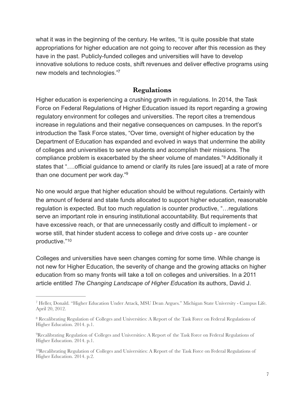what it was in the beginning of the century. He writes, "It is quite possible that state appropriations for higher education are not going to recover after this recession as they have in the past. Publicly-funded colleges and universities will have to develop innovative solutions to reduce costs, shift revenues and deliver effective programs using new models and technologies.["7](#page-6-0)

#### <span id="page-6-6"></span><span id="page-6-5"></span><span id="page-6-4"></span>**Regulations**

Higher education is experiencing a crushing growth in regulations. In 2014, the Task Force on Federal Regulations of Higher Education issued its report regarding a growing regulatory environment for colleges and universities. The report cites a tremendous increase in regulations and their negative consequences on campuses. In the report's introduction the Task Force states, "Over time, oversight of higher education by the Department of Education has expanded and evolved in ways that undermine the ability of colleges and universities to serve students and accomplish their missions. The compliance problem is exacerbated by the sheer volume of mandates."<sup>[8](#page-6-1)</sup> Additionally it states that "….official guidance to amend or clarify its rules [are issued] at a rate of more than one document per work day.["9](#page-6-2)

No one would argue that higher education should be without regulations. Certainly with the amount of federal and state funds allocated to support higher education, reasonable regulation is expected. But too much regulation is counter productive, "…regulations serve an important role in ensuring institutional accountability. But requirements that have excessive reach, or that are unnecessarily costly and difficult to implement - or worse still, that hinder student access to college and drive costs up - are counter productive."[10](#page-6-3)

<span id="page-6-7"></span>Colleges and universities have seen changes coming for some time. While change is not new for Higher Education, the severity of change and the growing attacks on higher education from so many fronts will take a toll on colleges and universities. In a 2011 article entitled *The Changing Landscape of Higher Education* its authors, David J.

<span id="page-6-0"></span><sup>&</sup>lt;sup>[7](#page-6-4)</sup> Heller, Donald. "Higher Education Under Attack, MSU Dean Argues." Michigan State University - Campus Life. April 20, 2012.

<span id="page-6-1"></span><sup>&</sup>lt;sup>[8](#page-6-5)</sup> Recalibrating Regulation of Colleges and Universities: A Report of the Task Force on Federal Regulations of Higher Education. 2014. p.1.

<span id="page-6-2"></span><sup>&</sup>lt;sup>[9](#page-6-6)</sup>Recalibrating Regulation of Colleges and Universities: A Report of the Task Force on Federal Regulations of Higher Education. 2014. p.1.

<span id="page-6-3"></span><sup>&</sup>lt;sup>10</sup>[R](#page-6-7)ecalibrating Regulation of Colleges and Universities: A Report of the Task Force on Federal Regulations of Higher Education. 2014. p.2.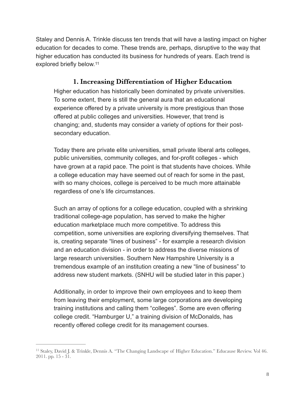Staley and Dennis A. Trinkle discuss ten trends that will have a lasting impact on higher education for decades to come. These trends are, perhaps, disruptive to the way that higher education has conducted its business for hundreds of years. Each trend is explored briefly below.[11](#page-7-0)

#### <span id="page-7-1"></span>**1. Increasing Differentiation of Higher Education**

Higher education has historically been dominated by private universities. To some extent, there is still the general aura that an educational experience offered by a private university is more prestigious than those offered at public colleges and universities. However, that trend is changing; and, students may consider a variety of options for their postsecondary education.

Today there are private elite universities, small private liberal arts colleges, public universities, community colleges, and for-profit colleges - which have grown at a rapid pace. The point is that students have choices. While a college education may have seemed out of reach for some in the past, with so many choices, college is perceived to be much more attainable regardless of one's life circumstances.

Such an array of options for a college education, coupled with a shrinking traditional college-age population, has served to make the higher education marketplace much more competitive. To address this competition, some universities are exploring diversifying themselves. That is, creating separate "lines of business" - for example a research division and an education division - in order to address the diverse missions of large research universities. Southern New Hampshire University is a tremendous example of an institution creating a new "line of business" to address new student markets. (SNHU will be studied later in this paper.)

Additionally, in order to improve their own employees and to keep them from leaving their employment, some large corporations are developing training institutions and calling them "colleges". Some are even offering college credit. "Hamburger U," a training division of McDonalds, has recently offered college credit for its management courses.

<span id="page-7-0"></span><sup>&</sup>lt;sup>[11](#page-7-1)</sup> Staley, David J. & Trinkle, Dennis A. "The Changing Landscape of Higher Education." Educause Review. Vol 46. 2011. pp. 15 - 31.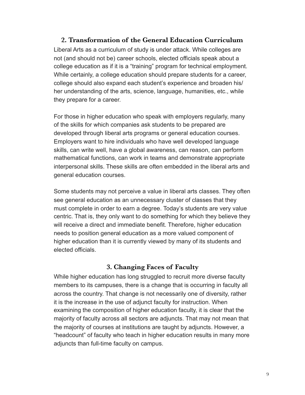#### **2. Transformation of the General Education Curriculum**

Liberal Arts as a curriculum of study is under attack. While colleges are not (and should not be) career schools, elected officials speak about a college education as if it is a "training" program for technical employment. While certainly, a college education should prepare students for a career, college should also expand each student's experience and broaden his/ her understanding of the arts, science, language, humanities, etc., while they prepare for a career.

For those in higher education who speak with employers regularly, many of the skills for which companies ask students to be prepared are developed through liberal arts programs or general education courses. Employers want to hire individuals who have well developed language skills, can write well, have a global awareness, can reason, can perform mathematical functions, can work in teams and demonstrate appropriate interpersonal skills. These skills are often embedded in the liberal arts and general education courses.

Some students may not perceive a value in liberal arts classes. They often see general education as an unnecessary cluster of classes that they must complete in order to earn a degree. Today's students are very value centric. That is, they only want to do something for which they believe they will receive a direct and immediate benefit. Therefore, higher education needs to position general education as a more valued component of higher education than it is currently viewed by many of its students and elected officials.

#### **3. Changing Faces of Faculty**

While higher education has long struggled to recruit more diverse faculty members to its campuses, there is a change that is occurring in faculty all across the country. That change is not necessarily one of diversity, rather it is the increase in the use of adjunct faculty for instruction. When examining the composition of higher education faculty, it is clear that the majority of faculty across all sectors are adjuncts. That may not mean that the majority of courses at institutions are taught by adjuncts. However, a "headcount" of faculty who teach in higher education results in many more adjuncts than full-time faculty on campus.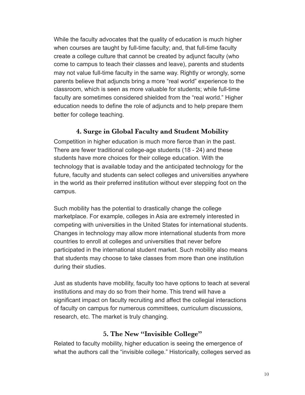While the faculty advocates that the quality of education is much higher when courses are taught by full-time faculty; and, that full-time faculty create a college culture that cannot be created by adjunct faculty (who come to campus to teach their classes and leave), parents and students may not value full-time faculty in the same way. Rightly or wrongly, some parents believe that adjuncts bring a more "real world" experience to the classroom, which is seen as more valuable for students; while full-time faculty are sometimes considered shielded from the "real world." Higher education needs to define the role of adjuncts and to help prepare them better for college teaching.

#### **4. Surge in Global Faculty and Student Mobility**

Competition in higher education is much more fierce than in the past. There are fewer traditional college-age students (18 - 24) and these students have more choices for their college education. With the technology that is available today and the anticipated technology for the future, faculty and students can select colleges and universities anywhere in the world as their preferred institution without ever stepping foot on the campus.

Such mobility has the potential to drastically change the college marketplace. For example, colleges in Asia are extremely interested in competing with universities in the United States for international students. Changes in technology may allow more international students from more countries to enroll at colleges and universities that never before participated in the international student market. Such mobility also means that students may choose to take classes from more than one institution during their studies.

Just as students have mobility, faculty too have options to teach at several institutions and may do so from their home. This trend will have a significant impact on faculty recruiting and affect the collegial interactions of faculty on campus for numerous committees, curriculum discussions, research, etc. The market is truly changing.

#### **5. The New "Invisible College"**

Related to faculty mobility, higher education is seeing the emergence of what the authors call the "invisible college." Historically, colleges served as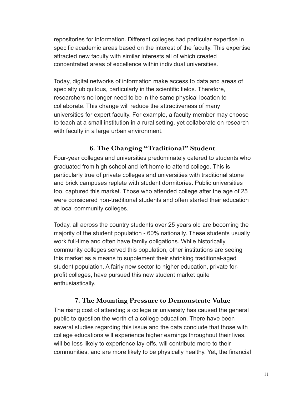repositories for information. Different colleges had particular expertise in specific academic areas based on the interest of the faculty. This expertise attracted new faculty with similar interests all of which created concentrated areas of excellence within individual universities.

Today, digital networks of information make access to data and areas of specialty ubiquitous, particularly in the scientific fields. Therefore, researchers no longer need to be in the same physical location to collaborate. This change will reduce the attractiveness of many universities for expert faculty. For example, a faculty member may choose to teach at a small institution in a rural setting, yet collaborate on research with faculty in a large urban environment.

#### **6. The Changing "Traditional" Student**

Four-year colleges and universities predominately catered to students who graduated from high school and left home to attend college. This is particularly true of private colleges and universities with traditional stone and brick campuses replete with student dormitories. Public universities too, captured this market. Those who attended college after the age of 25 were considered non-traditional students and often started their education at local community colleges.

Today, all across the country students over 25 years old are becoming the majority of the student population - 60% nationally. These students usually work full-time and often have family obligations. While historically community colleges served this population, other institutions are seeing this market as a means to supplement their shrinking traditional-aged student population. A fairly new sector to higher education, private forprofit colleges, have pursued this new student market quite enthusiastically.

#### **7. The Mounting Pressure to Demonstrate Value**

The rising cost of attending a college or university has caused the general public to question the worth of a college education. There have been several studies regarding this issue and the data conclude that those with college educations will experience higher earnings throughout their lives, will be less likely to experience lay-offs, will contribute more to their communities, and are more likely to be physically healthy. Yet, the financial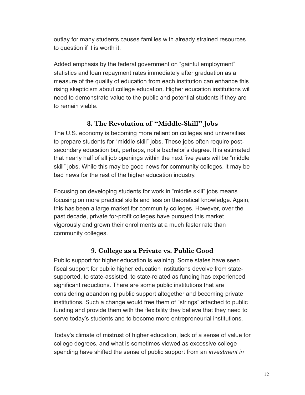outlay for many students causes families with already strained resources to question if it is worth it.

Added emphasis by the federal government on "gainful employment" statistics and loan repayment rates immediately after graduation as a measure of the quality of education from each institution can enhance this rising skepticism about college education. Higher education institutions will need to demonstrate value to the public and potential students if they are to remain viable.

#### **8. The Revolution of "Middle-Skill" Jobs**

The U.S. economy is becoming more reliant on colleges and universities to prepare students for "middle skill" jobs. These jobs often require postsecondary education but, perhaps, not a bachelor's degree. It is estimated that nearly half of all job openings within the next five years will be "middle skill" jobs. While this may be good news for community colleges, it may be bad news for the rest of the higher education industry.

Focusing on developing students for work in "middle skill" jobs means focusing on more practical skills and less on theoretical knowledge. Again, this has been a large market for community colleges. However, over the past decade, private for-profit colleges have pursued this market vigorously and grown their enrollments at a much faster rate than community colleges.

#### **9. College as a Private vs. Public Good**

Public support for higher education is waining. Some states have seen fiscal support for public higher education institutions devolve from statesupported, to state-assisted, to state-related as funding has experienced significant reductions. There are some public institutions that are considering abandoning public support altogether and becoming private institutions. Such a change would free them of "strings" attached to public funding and provide them with the flexibility they believe that they need to serve today's students and to become more entrepreneurial institutions.

Today's climate of mistrust of higher education, lack of a sense of value for college degrees, and what is sometimes viewed as excessive college spending have shifted the sense of public support from an *investment in*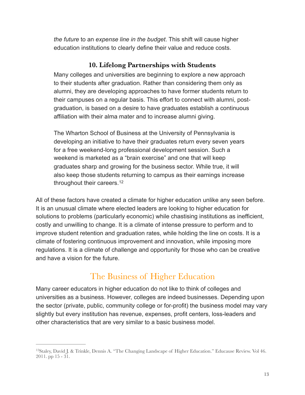*the future* to an *expense line in the budget*. This shift will cause higher education institutions to clearly define their value and reduce costs.

#### **10. Lifelong Partnerships with Students**

Many colleges and universities are beginning to explore a new approach to their students after graduation. Rather than considering them only as alumni, they are developing approaches to have former students return to their campuses on a regular basis. This effort to connect with alumni, postgraduation, is based on a desire to have graduates establish a continuous affiliation with their alma mater and to increase alumni giving.

The Wharton School of Business at the University of Pennsylvania is developing an initiative to have their graduates return every seven years for a free weekend-long professional development session. Such a weekend is marketed as a "brain exercise" and one that will keep graduates sharp and growing for the business sector. While true, it will also keep those students returning to campus as their earnings increase throughout their careers.[12](#page-12-0)

<span id="page-12-1"></span>All of these factors have created a climate for higher education unlike any seen before. It is an unusual climate where elected leaders are looking to higher education for solutions to problems (particularly economic) while chastising institutions as inefficient, costly and unwilling to change. It is a climate of intense pressure to perform and to improve student retention and graduation rates, while holding the line on costs. It is a climate of fostering continuous improvement and innovation, while imposing more regulations. It is a climate of challenge and opportunity for those who can be creative and have a vision for the future.

# The Business of Higher Education

Many career educators in higher education do not like to think of colleges and universities as a business. However, colleges are indeed businesses. Depending upon the sector (private, public, community college or for-profit) the business model may vary slightly but every institution has revenue, expenses, profit centers, loss-leaders and other characteristics that are very similar to a basic business model.

<span id="page-12-0"></span><sup>&</sup>lt;sup>12</sup>[S](#page-12-1)taley, David J. & Trinkle, Dennis A. "The Changing Landscape of Higher Education." Educause Review. Vol 46. 2011. pp 15 - 31.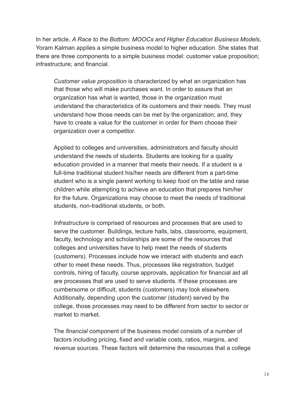In her article, *A Race to the Bottom: MOOCs and Higher Education Business Models*, Yoram Kalman applies a simple business model to higher education. She states that there are three components to a simple business model: customer value proposition; infrastructure; and financial.

*Customer value proposition* is characterized by what an organization has that those who will make purchases want. In order to assure that an organization has what is wanted, those in the organization must understand the characteristics of its customers and their needs. They must understand how those needs can be met by the organization; and, they have to create a value for the customer in order for them choose their organization over a competitor.

Applied to colleges and universities, administrators and faculty should understand the needs of students. Students are looking for a quality education provided in a manner that meets their needs. If a student is a full-time traditional student his/her needs are different from a part-time student who is a single parent working to keep food on the table and raise children while attempting to achieve an education that prepares him/her for the future. Organizations may choose to meet the needs of traditional students, non-traditional students, or both.

*Infrastructure* is comprised of resources and processes that are used to serve the customer. Buildings, lecture halls, labs, classrooms, equipment, faculty, technology and scholarships are some of the resources that colleges and universities have to help meet the needs of students (customers). Processes include how we interact with students and each other to meet these needs. Thus, processes like registration, budget controls, hiring of faculty, course approvals, application for financial aid all are processes that are used to serve students. If these processes are cumbersome or difficult, students (customers) may look elsewhere. Additionally, depending upon the customer (student) served by the college, those processes may need to be different from sector to sector or market to market.

The *financial* component of the business model consists of a number of factors including pricing, fixed and variable costs, ratios, margins, and revenue sources. These factors will determine the resources that a college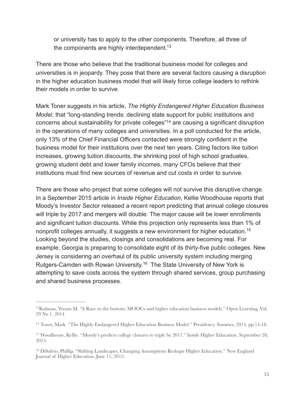<span id="page-14-4"></span>or university has to apply to the other components. Therefore, all three of the components are highly interdependent.<sup>[13](#page-14-0)</sup>

There are those who believe that the traditional business model for colleges and universities is in jeopardy. They pose that there are several factors causing a disruption in the higher education business model that will likely force college leaders to rethink their models in order to survive.

<span id="page-14-5"></span>Mark Toner suggests in his article, *The Highly Endangered Higher Education Business Model*, that "long-standing trends: declining state support for public institutions and concerns about sustainability for private colleges["](#page-14-1)<sup>[14](#page-14-1)</sup> are causing a significant disruption in the operations of many colleges and universities. In a poll conducted for the article, only 13% of the Chief Financial Officers contacted were strongly confident in the business model for their institutions over the next ten years. Citing factors like tuition increases, growing tuition discounts, the shrinking pool of high school graduates, growing student debt and lower family incomes, many CFOs believe that their institutions must find new sources of revenue and cut costs in order to survive.

<span id="page-14-6"></span>There are those who project that some colleges will not survive this disruptive change. In a September 2015 article in *Inside Higher Education*, Kellie Woodhouse reports that Moody's Investor Sector released a recent report predicting that annual college closures will triple by 2017 and mergers will double. The major cause will be lower enrollments and significant tuition discounts. While this projection only represents less than 1% of nonprofit colleges annually, it suggests a new environment for higher education.[15](#page-14-2) Looking beyond the studies, closings and consolidations are becoming real. For example, Georgia is preparing to consolidate eight of its thirty-five public colleges. New Jersey is considering an overhaul of its public university system including merging Rutgers-Camden with Rowan University[.](#page-14-3)<sup>[16](#page-14-3)</sup> The State University of New York is attempting to save costs across the system through shared services, group purchasing and shared business processes.

<span id="page-14-7"></span><span id="page-14-0"></span><sup>&</sup>lt;sup>13</sup>[K](#page-14-4)alman, Yoram M. "A Race to the bottom: MOOCs and higher education business models." Open Learning. Vol. 29 No 1. 2014

<span id="page-14-1"></span><sup>&</sup>lt;sup>[14](#page-14-5)</sup> Toner, Mark. "The Highly Endangered Higher Education Business Model." Presidency. Summer, 2015. pp.15-18.

<span id="page-14-2"></span><sup>&</sup>lt;sup>[15](#page-14-6)</sup> Woodhouse, Kellie. "Moody's predicts college closures to triple by 2017." Inside Higher Education. September 28, 2015.

<span id="page-14-3"></span><sup>&</sup>lt;sup>[16](#page-14-7)</sup> DiSalvio, Phillip. "Shifting Landscapes, Changing Assumptions Reshape Higher Education." New England Journal of Higher Education. June 11, 2012.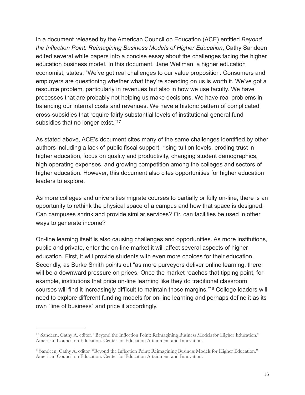In a document released by the American Council on Education (ACE) entitled *Beyond the Inflection Point: Reimagining Business Models of Higher Education*, Cathy Sandeen edited several white papers into a concise essay about the challenges facing the higher education business model. In this document, Jane Wellman, a higher education economist, states: "We've got real challenges to our value proposition. Consumers and employers are questioning whether what they're spending on us is worth it. We've got a resource problem, particularly in revenues but also in how we use faculty. We have processes that are probably not helping us make decisions. We have real problems in balancing our internal costs and revenues. We have a historic pattern of complicated cross-subsidies that require fairly substantial levels of institutional general fund subsidies that no longer exist."<sup>17</sup>

<span id="page-15-2"></span>As stated above, ACE's document cites many of the same challenges identified by other authors including a lack of public fiscal support, rising tuition levels, eroding trust in higher education, focus on quality and productivity, changing student demographics, high operating expenses, and growing competition among the colleges and sectors of higher education. However, this document also cites opportunities for higher education leaders to explore.

As more colleges and universities migrate courses to partially or fully on-line, there is an opportunity to rethink the physical space of a campus and how that space is designed. Can campuses shrink and provide similar services? Or, can facilities be used in other ways to generate income?

On-line learning itself is also causing challenges and opportunities. As more institutions, public and private, enter the on-line market it will affect several aspects of higher education. First, it will provide students with even more choices for their education. Secondly, as Burke Smith points out "as more purveyors deliver online learning, there will be a downward pressure on prices. Once the market reaches that tipping point, for example, institutions that price on-line learning like they do traditional classroom courses will find it increasingly difficult to maintain those margins.["](#page-15-1)<sup>[18](#page-15-1)</sup> College leaders will need to explore different funding models for on-line learning and perhaps define it as its own "line of business" and price it accordingly.

<span id="page-15-3"></span><span id="page-15-0"></span><sup>&</sup>lt;sup>[17](#page-15-2)</sup> Sandeen, Cathy A. editor. "Beyond the Inflection Point: Reimagining Business Models for Higher Education." American Council on Education. Center for Education Attainment and Innovation.

<span id="page-15-1"></span><sup>&</sup>lt;sup>18</sup>[S](#page-15-3)andeen, Cathy A. editor. "Beyond the Inflection Point: Reimagining Business Models for Higher Education." American Council on Education. Center for Education Attainment and Innovation.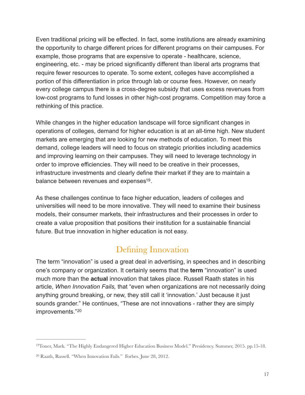Even traditional pricing will be effected. In fact, some institutions are already examining the opportunity to charge different prices for different programs on their campuses. For example, those programs that are expensive to operate - healthcare, science, engineering, etc. - may be priced significantly different than liberal arts programs that require fewer resources to operate. To some extent, colleges have accomplished a portion of this differentiation in price through lab or course fees. However, on nearly every college campus there is a cross-degree subsidy that uses excess revenues from low-cost programs to fund losses in other high-cost programs. Competition may force a rethinking of this practice.

While changes in the higher education landscape will force significant changes in operations of colleges, demand for higher education is at an all-time high. New student markets are emerging that are looking for new methods of education. To meet this demand, college leaders will need to focus on strategic priorities including academics and improving learning on their campuses. They will need to leverage technology in order to improve efficiencies. They will need to be creative in their processes, infrastructure investments and clearly define their market if they are to maintain a balance between revenues and expenses<sup>[19](#page-16-0)</sup>.

As these challenges continue to face higher education, leaders of colleges and universities will need to be more innovative. They will need to examine their business models, their consumer markets, their infrastructures and their processes in order to create a value proposition that positions their institution for a sustainable financial future. But true innovation in higher education is not easy.

## <span id="page-16-2"></span>Defining Innovation

The term "innovation" is used a great deal in advertising, in speeches and in describing one's company or organization. It certainly seems that the **term** "innovation" is used much more than the **actual** innovation that takes place. Russell Raath states in his article, *When Innovation Fails,* that "even when organizations are not necessarily doing anything ground breaking, or new, they still call it 'innovation.' Just because it just sounds grander." He continues, "These are not innovations - rather they are simply improvements."[20](#page-16-1)

<span id="page-16-3"></span><span id="page-16-0"></span><sup>&</sup>lt;sup>[19](#page-16-2)</sup>Toner, Mark. "The Highly Endangered Higher Education Business Model." Presidency. Summer, 2015. pp.15-18.

<span id="page-16-1"></span><sup>&</sup>lt;sup>[20](#page-16-3)</sup> Raath, Russell. "When Innovation Fails." Forbes. June 28, 2012.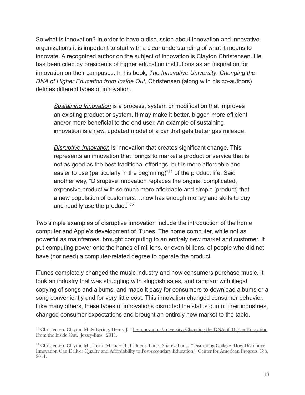So what is innovation? In order to have a discussion about innovation and innovative organizations it is important to start with a clear understanding of what it means to innovate. A recognized author on the subject of innovation is Clayton Christensen. He has been cited by presidents of higher education institutions as an inspiration for innovation on their campuses. In his book, *The Innovative University: Changing the DNA of Higher Education from Inside Out*, Christensen (along with his co-authors) defines different types of innovation.

*Sustaining Innovation* is a process, system or modification that improves an existing product or system. It may make it better, bigger, more efficient and/or more beneficial to the end user. An example of sustaining innovation is a new, updated model of a car that gets better gas mileage.

<span id="page-17-2"></span>*Disruptive Innovation* is innovation that creates significant change. This represents an innovation that "brings to market a product or service that is not as good as the best traditional offerings, but is more affordable and easier to use (particularly in the beginning)<sup>["](#page-17-0)[21](#page-17-0)</sup> of the product life. Said another way, "Disruptive innovation replaces the original complicated, expensive product with so much more affordable and simple [product] that a new population of customers….now has enough money and skills to buy and readily use the product.["22](#page-17-1)

<span id="page-17-3"></span>Two simple examples of disruptive innovation include the introduction of the home computer and Apple's development of iTunes. The home computer, while not as powerful as mainframes, brought computing to an entirely new market and customer. It put computing power onto the hands of millions, or even billions, of people who did not have (nor need) a computer-related degree to operate the product.

iTunes completely changed the music industry and how consumers purchase music. It took an industry that was struggling with sluggish sales, and rampant with illegal copying of songs and albums, and made it easy for consumers to download albums or a song conveniently and for very little cost. This innovation changed consumer behavior. Like many others, these types of innovations disrupted the status quo of their industries, changed consumer expectations and brought an entirely new market to the table.

<span id="page-17-0"></span><sup>&</sup>lt;sup>21</sup>Christensen, Clayton M. & Eyring, Henry J. The Innovation University: Changing the DNA of Higher Education From the Inside Out. Jossey-Bass 2011.

<span id="page-17-1"></span><sup>&</sup>lt;sup>[22](#page-17-3)</sup> Christensen, Clayton M., Horn, Michael B., Caldera, Louis, Soares, Louis. "Disrupting College: How Disruptive Innovation Can Deliver Quality and Affordability to Post-secondary Education." Center for American Progress. Feb. 2011.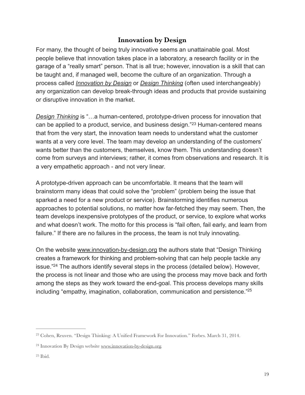#### <span id="page-18-3"></span>**Innovation by Design**

For many, the thought of being truly innovative seems an unattainable goal. Most people believe that innovation takes place in a laboratory, a research facility or in the garage of a "really smart" person. That is all true; however, innovation is a skill that can be taught and, if managed well, become the culture of an organization. Through a process called *Innovation by Design* or *Design Thinking* (often used interchangeably) any organization can develop break-through ideas and products that provide sustaining or disruptive innovation in the market.

*Design Thinking* is "…a human-centered, prototype-driven process for innovation that canbe applied to a product, service, and business design."<sup>[23](#page-18-0)</sup> Human-centered means that from the very start, the innovation team needs to understand what the customer wants at a very core level. The team may develop an understanding of the customers' wants better than the customers, themselves, know them. This understanding doesn't come from surveys and interviews; rather, it comes from observations and research. It is a very empathetic approach - and not very linear.

A prototype-driven approach can be uncomfortable. It means that the team will brainstorm many ideas that could solve the "problem" (problem being the issue that sparked a need for a new product or service). Brainstorming identifies numerous approaches to potential solutions, no matter how far-fetched they may seem. Then, the team develops inexpensive prototypes of the product, or service, to explore what works and what doesn't work. The motto for this process is "fail often, fail early, and learn from failure." If there are no failures in the process, the team is not truly innovating.

<span id="page-18-4"></span>On the website [www.innovation-by-design.org](http://www.innovation-by-design.org) the authors state that "Design Thinking creates a framework for thinking and problem-solving that can help people tackle any issue.["](#page-18-1)<sup>[24](#page-18-1)</sup> The authors identify several steps in the process (detailed below). However, the process is not linear and those who are using the process may move back and forth among the steps as they work toward the end-goal. This process develops many skills including "empathy, imagination, collaboration, communication and persistence.["25](#page-18-2)

<span id="page-18-5"></span><span id="page-18-0"></span><sup>&</sup>lt;sup>[23](#page-18-3)</sup> Cohen, Reuven. "Design Thinking: A Unified Framework For Innovation." Forbes. March 31, 2014.

<span id="page-18-1"></span> $24$ Innovation By Design website [www.innovation-by-design.org.](http://www.innovation-by-design.org)

<span id="page-18-2"></span> $25$  Ibid.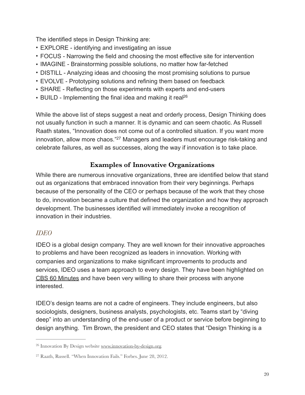The identified steps in Design Thinking are:

- EXPLORE identifying and investigating an issue
- FOCUS Narrowing the field and choosing the most effective site for intervention
- IMAGINE Brainstorming possible solutions, no matter how far-fetched
- DISTILL Analyzing ideas and choosing the most promising solutions to pursue
- EVOLVE Prototyping solutions and refining them based on feedback
- SHARE Reflecting on those experiments with experts and end-users
- BUILD Implementing the final idea and making it real<sup>26</sup>

While the above list of steps suggest a neat and orderly process, Design Thinking does not usually function in such a manner. It is dynamic and can seem chaotic. As Russell Raath states, "Innovation does not come out of a controlled situation. If you want more innovation, allow more chaos."<sup>[27](#page-19-1)</sup> Managers and leaders must encourage risk-taking and celebrate failures, as well as successes, along the way if innovation is to take place.

#### <span id="page-19-3"></span><span id="page-19-2"></span>**Examples of Innovative Organizations**

While there are numerous innovative organizations, three are identified below that stand out as organizations that embraced innovation from their very beginnings. Perhaps because of the personality of the CEO or perhaps because of the work that they chose to do, innovation became a culture that defined the organization and how they approach development. The businesses identified will immediately invoke a recognition of innovation in their industries.

#### *IDEO*

IDEO is a global design company. They are well known for their innovative approaches to problems and have been recognized as leaders in innovation. Working with companies and organizations to make significant improvements to products and services, IDEO uses a team approach to every design. They have been highlighted on CBS 60 Minutes and have been very willing to share their process with anyone interested.

IDEO's design teams are not a cadre of engineers. They include engineers, but also sociologists, designers, business analysts, psychologists, etc. Teams start by "diving deep" into an understanding of the end-user of a product or service before beginning to design anything. Tim Brown, the president and CEO states that "Design Thinking is a

<span id="page-19-0"></span> $26$  Innovation By Design website [www.innovation-by-design.org.](http://www.innovation-by-design.org)

<span id="page-19-1"></span><sup>&</sup>lt;sup>[27](#page-19-3)</sup> Raath, Russell. "When Innovation Fails." Forbes. June 28, 2012.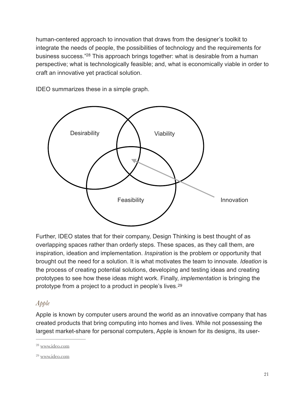<span id="page-20-2"></span>human-centered approach to innovation that draws from the designer's toolkit to integrate the needs of people, the possibilities of technology and the requirements for business success.["](#page-20-0)<sup>[28](#page-20-0)</sup> This approach brings together: what is desirable from a human perspective; what is technologically feasible; and, what is economically viable in order to craft an innovative yet practical solution.

Desirability  $\left\{\right.\right.$   $\left\{\right.\right.}$  Viability Feasibility **I** Innovation

IDEO summarizes these in a simple graph.

Further, IDEO states that for their company, Design Thinking is best thought of as overlapping spaces rather than orderly steps. These spaces, as they call them, are inspiration, ideation and implementation. *Inspiration* is the problem or opportunity that brought out the need for a solution. It is what motivates the team to innovate. *Ideation* is the process of creating potential solutions, developing and testing ideas and creating prototypes to see how these ideas might work. Finally, *implementation* is bringing the prototype from a project to a product in people's lives.[29](#page-20-1)

#### <span id="page-20-3"></span>*Apple*

Apple is known by computer users around the world as an innovative company that has created products that bring computing into homes and lives. While not possessing the largest market-share for personal computers, Apple is known for its designs, its user-

<span id="page-20-0"></span>[<sup>28</sup>](#page-20-2) [www.ideo.com](http://www.ideo.com)

<span id="page-20-1"></span>[<sup>29</sup>](#page-20-3) [www.ideo.com](http://www.ideo.com)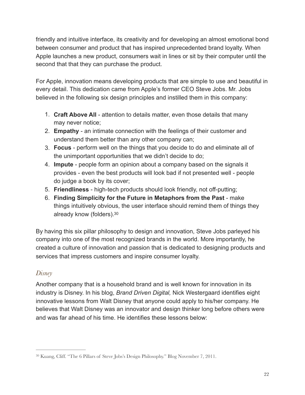friendly and intuitive interface, its creativity and for developing an almost emotional bond between consumer and product that has inspired unprecedented brand loyalty. When Apple launches a new product, consumers wait in lines or sit by their computer until the second that that they can purchase the product.

For Apple, innovation means developing products that are simple to use and beautiful in every detail. This dedication came from Apple's former CEO Steve Jobs. Mr. Jobs believed in the following six design principles and instilled them in this company:

- 1. **Craft Above All** attention to details matter, even those details that many may never notice;
- 2. **Empathy** an intimate connection with the feelings of their customer and understand them better than any other company can;
- 3. **Focus** perform well on the things that you decide to do and eliminate all of the unimportant opportunities that we didn't decide to do;
- 4. **Impute** people form an opinion about a company based on the signals it provides - even the best products will look bad if not presented well - people do judge a book by its cover;
- 5. **Friendliness** high-tech products should look friendly, not off-putting;
- <span id="page-21-1"></span>6. **Finding Simplicity for the Future in Metaphors from the Past** - make things intuitively obvious, the user interface should remind them of things they already know (folders)[.30](#page-21-0)

By having this six pillar philosophy to design and innovation, Steve Jobs parleyed his company into one of the most recognized brands in the world. More importantly, he created a culture of innovation and passion that is dedicated to designing products and services that impress customers and inspire consumer loyalty.

#### *Disney*

Another company that is a household brand and is well known for innovation in its industry is Disney. In his blog, *Brand Driven Digital,* Nick Westergaard identifies eight innovative lessons from Walt Disney that anyone could apply to his/her company. He believes that Walt Disney was an innovator and design thinker long before others were and was far ahead of his time. He identifies these lessons below:

<span id="page-21-0"></span><sup>&</sup>lt;sup>[30](#page-21-1)</sup> Kuang, Cliff. "The 6 Pillars of Steve Jobs's Design Philosophy." Blog November 7, 2011.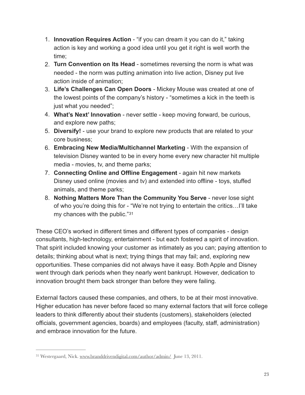- 1. **Innovation Requires Action** "if you can dream it you can do it," taking action is key and working a good idea until you get it right is well worth the time;
- 2. **Turn Convention on Its Head** sometimes reversing the norm is what was needed - the norm was putting animation into live action, Disney put live action inside of animation;
- 3. **Life's Challenges Can Open Doors** Mickey Mouse was created at one of the lowest points of the company's history - "sometimes a kick in the teeth is just what you needed";
- 4. **What's Next' Innovation** never settle keep moving forward, be curious, and explore new paths;
- 5. **Diversify!** use your brand to explore new products that are related to your core business;
- 6. **Embracing New Media/Multichannel Marketing** With the expansion of television Disney wanted to be in every home every new character hit multiple media - movies, tv, and theme parks;
- 7. **Connecting Online and Offline Engagement** again hit new markets Disney used online (movies and tv) and extended into offline - toys, stuffed animals, and theme parks;
- <span id="page-22-1"></span>8. **Nothing Matters More Than the Community You Serve** - never lose sight of who you're doing this for - "We're not trying to entertain the critics…I'll take my chances with the public."[31](#page-22-0)

These CEO's worked in different times and different types of companies - design consultants, high-technology, entertainment - but each fostered a spirit of innovation. That spirit included knowing your customer as intimately as you can; paying attention to details; thinking about what is next; trying things that may fail; and, exploring new opportunities. These companies did not always have it easy. Both Apple and Disney went through dark periods when they nearly went bankrupt. However, dedication to innovation brought them back stronger than before they were failing.

External factors caused these companies, and others, to be at their most innovative. Higher education has never before faced so many external factors that will force college leaders to think differently about their students (customers), stakeholders (elected officials, government agencies, boards) and employees (faculty, staff, administration) and embrace innovation for the future.

<span id="page-22-0"></span><sup>&</sup>lt;sup>31</sup>Westergaard, Nick. [www.branddrivendigital.com/author/admin/](http://www.branddrivendigital.com/author/admin/) June 13, 2011.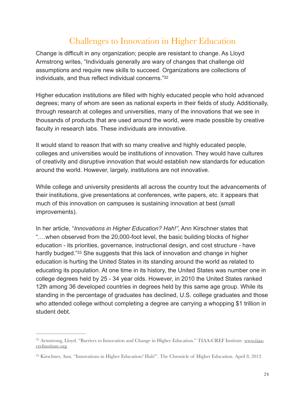# <span id="page-23-2"></span>Challenges to Innovation in Higher Education

Change is difficult in any organization; people are resistant to change. As Lloyd Armstrong writes, "Individuals generally are wary of changes that challenge old assumptions and require new skills to succeed. Organizations are collections of individuals, and thus reflect individual concerns.["32](#page-23-0)

Higher education institutions are filled with highly educated people who hold advanced degrees; many of whom are seen as national experts in their fields of study. Additionally, through research at colleges and universities, many of the innovations that we see in thousands of products that are used around the world, were made possible by creative faculty in research labs. These individuals are innovative.

It would stand to reason that with so many creative and highly educated people, colleges and universities would be institutions of innovation. They would have cultures of creativity and disruptive innovation that would establish new standards for education around the world. However, largely, institutions are not innovative.

While college and university presidents all across the country tout the advancements of their institutions, give presentations at conferences, write papers, etc. it appears that much of this innovation on campuses is sustaining innovation at best (small improvements).

<span id="page-23-3"></span>In her article, "*Innovations in Higher Education? Hah!"*, Ann Kirschner states that "….when observed from the 20,000-foot level, the basic building blocks of higher education - its priorities, governance, instructional design, and cost structure - have hardly budged.["](#page-23-1)<sup>[33](#page-23-1)</sup> She suggests that this lack of innovation and change in higher education is hurting the United States in its standing around the world as related to educating its population. At one time in its history, the United States was number one in college degrees held by 25 - 34 year olds. However, in 2010 the United States ranked 12th among 36 developed countries in degrees held by this same age group. While its standing in the percentage of graduates has declined, U.S. college graduates and those who attended college without completing a degree are carrying a whopping \$1 trillion in student debt.

<span id="page-23-0"></span><sup>&</sup>lt;sup>32</sup> [Armstrong, Lloyd. "Barriers to Innovation and Change in Higher Education." TIAA-CREF Institute. www.tiaa](http://www.tiaa-crefinstitute.org) crefinstitute.org.

<span id="page-23-1"></span><sup>&</sup>lt;sup>[33](#page-23-3)</sup> Kirschner, Ann. "Innovations in Higher Education? Hah!". The Chronicle of Higher Education. April 8, 2012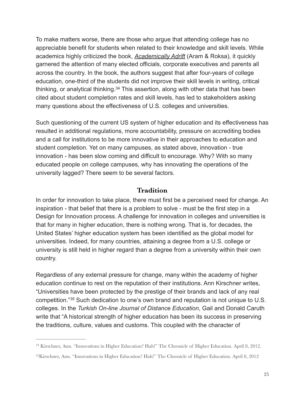To make matters worse, there are those who argue that attending college has no appreciable benefit for students when related to their knowledge and skill levels. While academics highly criticized the book, *Academically Adrift* (Aram & Roksa), it quickly garnered the attention of many elected officials, corporate executives and parents all across the country. In the book, the authors suggest that after four-years of college education, one-third of the students did not improve their skill levels in writing, critical thinking, or analytical thinking. $34$  This assertion, along with other data that has been cited about student completion rates and skill levels, has led to stakeholders asking many questions about the effectiveness of U.S. colleges and universities.

<span id="page-24-2"></span>Such questioning of the current US system of higher education and its effectiveness has resulted in additional regulations, more accountability, pressure on accrediting bodies and a call for institutions to be more innovative in their approaches to education and student completion. Yet on many campuses, as stated above, innovation - true innovation - has been slow coming and difficult to encourage. Why? With so many educated people on college campuses, why has innovating the operations of the university lagged? There seem to be several factors.

#### **Tradition**

In order for innovation to take place, there must first be a perceived need for change. An inspiration - that belief that there is a problem to solve - must be the first step in a Design for Innovation process. A challenge for innovation in colleges and universities is that for many in higher education, there is nothing wrong. That is, for decades, the United States' higher education system has been identified as the global model for universities. Indeed, for many countries, attaining a degree from a U.S. college or university is still held in higher regard than a degree from a university within their own country.

<span id="page-24-3"></span>Regardless of any external pressure for change, many within the academy of higher education continue to rest on the reputation of their institutions. Ann Kirschner writes, "Universities have been protected by the prestige of their brands and lack of any real competition."<sup>35</sup>Such dedication to one's own brand and reputation is not unique to U.S. colleges. In the *Turkish On-line Journal of Distance Education*, Gail and Donald Caruth write that "A historical strength of higher education has been its success in preserving the traditions, culture, values and customs. This coupled with the character of

<span id="page-24-0"></span><sup>&</sup>lt;sup>34</sup>Kirschner, Ann. "Innovations in Higher Education? Hah!" The Chronicle of Higher Education. April 8, 2012.

<span id="page-24-1"></span><sup>&</sup>lt;sup>[35](#page-24-3)</sup>Kirschner, Ann. "Innovations in Higher Education? Hah!" The Chronicle of Higher Education. April 8, 2012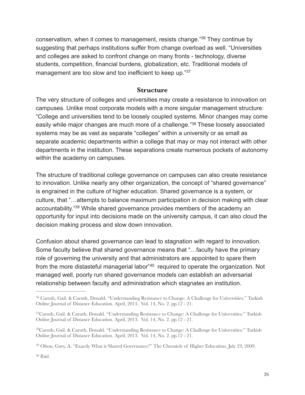conservatism, when it comes to management, resists change.["](#page-25-0)<sup>[36](#page-25-0)</sup> They continue by suggesting that perhaps institutions suffer from change overload as well. "Universities and colleges are asked to confront change on many fronts - technology, diverse students, competition, financial burdens, globalization, etc. Traditional models of management are too slow and too inefficient to keep up."[37](#page-25-1)

#### <span id="page-25-7"></span><span id="page-25-6"></span><span id="page-25-5"></span>**Structure**

The very structure of colleges and universities may create a resistance to innovation on campuses. Unlike most corporate models with a more singular management structure: "College and universities tend to be loosely coupled systems. Minor changes may come easilywhile major changes are much more of a challenge."<sup>[38](#page-25-2)</sup> These loosely associated systems may be as vast as separate "colleges" within a university or as small as separate academic departments within a college that may or may not interact with other departments in the institution. These separations create numerous pockets of autonomy within the academy on campuses.

The structure of traditional college governance on campuses can also create resistance to innovation. Unlike nearly any other organization, the concept of "shared governance" is engrained in the culture of higher education. Shared governance is a system, or culture, that "…attempts to balance maximum participation in decision making with clear accountability.["](#page-25-3)<sup>[39](#page-25-3)</sup> While shared governance provides members of the academy an opportunity for input into decisions made on the university campus, it can also cloud the decision making process and slow down innovation.

<span id="page-25-8"></span>Confusion about shared governance can lead to stagnation with regard to innovation. Some faculty believe that shared governance means that "…faculty have the primary role of governing the university and that administrators are appointed to spare them fromthe more distasteful managerial labor<sup>"[40](#page-25-4)</sup> required to operate the organization. Not managed well, poorly run shared governance models can establish an adversarial relationship between faculty and administration which stagnates an institution.

<span id="page-25-9"></span><span id="page-25-0"></span><sup>&</sup>lt;sup>[36](#page-25-5)</sup> Caruth, Gail. & Caruth, Donald. "Understanding Resistance to Change: A Challenge for Universities." Turkish Online Journal of Distance Education. April, 2013. Vol. 14, No. 2. pp.12 - 21.

<span id="page-25-1"></span><sup>&</sup>lt;sup>37</sup> [C](#page-25-6)aruth, Gail. & Caruth, Donald. "Understanding Resistance to Change: A Challenge for Universities." Turkish Online Journal of Distance Education. April, 2013. Vol. 14, No. 2. pp.12 - 21.

<span id="page-25-2"></span><sup>&</sup>lt;sup>38</sup> [C](#page-25-7)aruth, Gail. & Caruth, Donald. "Understanding Resistance to Change: A Challenge for Universities." Turkish Online Journal of Distance Education. April, 2013. Vol. 14, No. 2. pp.12 - 21.

<span id="page-25-4"></span><span id="page-25-3"></span><sup>&</sup>lt;sup>[39](#page-25-8)</sup> Olson, Gary, A. "Exactly What is Shared Governance?" The Chronicle of Higher Education. July 23, 2009.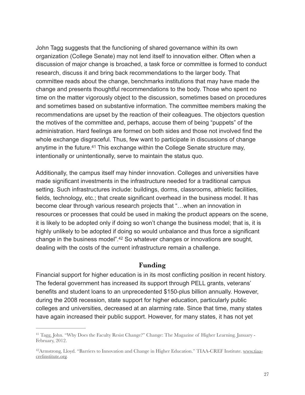John Tagg suggests that the functioning of shared governance within its own organization (College Senate) may not lend itself to innovation either. Often when a discussion of major change is broached, a task force or committee is formed to conduct research, discuss it and bring back recommendations to the larger body. That committee reads about the change, benchmarks institutions that may have made the change and presents thoughtful recommendations to the body. Those who spent no time on the matter vigorously object to the discussion, sometimes based on procedures and sometimes based on substantive information. The committee members making the recommendations are upset by the reaction of their colleagues. The objectors question the motives of the committee and, perhaps, accuse them of being "puppets" of the administration. Hard feelings are formed on both sides and those not involved find the whole exchange disgraceful. Thus, few want to participate in discussions of change anytime in the future.<sup>[41](#page-26-0)</sup> This exchange within the College Senate structure may, intentionally or unintentionally, serve to maintain the status quo.

<span id="page-26-2"></span>Additionally, the campus itself may hinder innovation. Colleges and universities have made significant investments in the infrastructure needed for a traditional campus setting. Such infrastructures include: buildings, dorms, classrooms, athletic facilities, fields, technology, etc.; that create significant overhead in the business model. It has become clear through various research projects that "…when an innovation in resources or processes that could be used in making the product appears on the scene, it is likely to be adopted only if doing so won't change the business model; that is, it is highly unlikely to be adopted if doing so would unbalance and thus force a significant change in the business model"[.](#page-26-1)<sup>[42](#page-26-1)</sup> So whatever changes or innovations are sought, dealing with the costs of the current infrastructure remain a challenge.

#### <span id="page-26-3"></span>**Funding**

Financial support for higher education is in its most conflicting position in recent history. The federal government has increased its support through PELL grants, veterans' benefits and student loans to an unprecedented \$150-plus billion annually. However, during the 2008 recession, state support for higher education, particularly public colleges and universities, decreased at an alarming rate. Since that time, many states have again increased their public support. However, for many states, it has not yet

<span id="page-26-0"></span><sup>&</sup>lt;sup>[41](#page-26-2)</sup> Tagg, John. "Why Does the Faculty Resist Change?" Change: The Magazine of Higher Learning. January -February, 2012.

<span id="page-26-1"></span><sup>&</sup>lt;sup>42</sup> [Armstrong, Lloyd. "Barriers to Innovation and Change in Higher Education." TIAA-CREF Institute. www.tiaa](http://www.tiaa-crefinstitute.org) crefinstitute.org.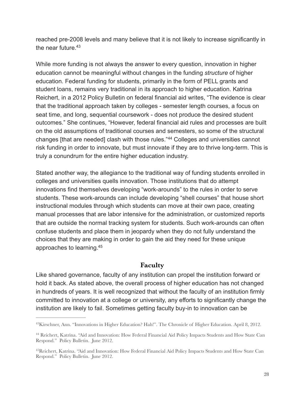<span id="page-27-3"></span>reached pre-2008 levels and many believe that it is not likely to increase significantly in the near future  $43$ 

While more funding is not always the answer to every question, innovation in higher education cannot be meaningful without changes in the funding *structure* of higher education. Federal funding for students, primarily in the form of PELL grants and student loans, remains very traditional in its approach to higher education. Katrina Reichert, in a 2012 Policy Bulletin on federal financial aid writes, "The evidence is clear that the traditional approach taken by colleges - semester length courses, a focus on seat time, and long, sequential coursework - does not produce the desired student outcomes." She continues, "However, federal financial aid rules and processes are built on the old assumptions of traditional courses and semesters, so some of the structural changes[that are needed] clash with those rules."<sup>[44](#page-27-1)</sup> Colleges and universities cannot risk funding in order to innovate, but must innovate if they are to thrive long-term. This is truly a conundrum for the entire higher education industry.

Stated another way, the allegiance to the traditional way of funding students enrolled in colleges and universities quells innovation. Those institutions that do attempt innovations find themselves developing "work-arounds" to the rules in order to serve students. These work-arounds can include developing "shell courses" that house short instructional modules through which students can move at their own pace, creating manual processes that are labor intensive for the administration, or customized reports that are outside the normal tracking system for students. Such work-arounds can often confuse students and place them in jeopardy when they do not fully understand the choices that they are making in order to gain the aid they need for these unique approaches to learning[.](#page-27-2) [45](#page-27-2)

#### <span id="page-27-5"></span><span id="page-27-4"></span>**Faculty**

Like shared governance, faculty of any institution can propel the institution forward or hold it back. As stated above, the overall process of higher education has not changed in hundreds of years. It is well recognized that without the faculty of an institution firmly committed to innovation at a college or university, any efforts to significantly change the institution are likely to fail. Sometimes getting faculty buy-in to innovation can be

<span id="page-27-0"></span><sup>&</sup>lt;sup>43</sup>[K](#page-27-3)irschner, Ann. "Innovations in Higher Education? Hah!". The Chronicle of Higher Education. April 8, 2012.

<span id="page-27-1"></span><sup>&</sup>lt;sup>[44](#page-27-4)</sup> Reichert, Katrina. "Aid and Innovation: How Federal Financial Aid Policy Impacts Students and How State Can Respond." Policy Bulletin. June 2012.

<span id="page-27-2"></span><sup>&</sup>lt;sup>45</sup> [R](#page-27-5)eichert, Katrina. "Aid and Innovation: How Federal Financial Aid Policy Impacts Students and How State Can Respond." Policy Bulletin. June 2012.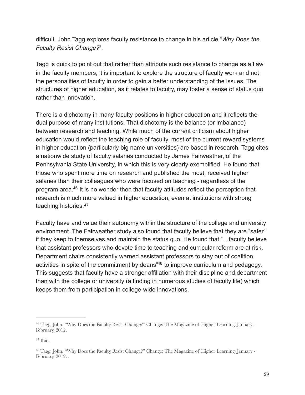difficult. John Tagg explores faculty resistance to change in his article "*Why Does the Faculty Resist Change?*".

Tagg is quick to point out that rather than attribute such resistance to change as a flaw in the faculty members, it is important to explore the structure of faculty work and not the personalities of faculty in order to gain a better understanding of the issues. The structures of higher education, as it relates to faculty, may foster a sense of status quo rather than innovation.

There is a dichotomy in many faculty positions in higher education and it reflects the dual purpose of many institutions. That dichotomy is the balance (or imbalance) between research and teaching. While much of the current criticism about higher education would reflect the teaching role of faculty, most of the current reward systems in higher education (particularly big name universities) are based in research. Tagg cites a nationwide study of faculty salaries conducted by James Fairweather, of the Pennsylvania State University, in which this is very clearly exemplified. He found that those who spent more time on research and published the most, received higher salaries than their colleagues who were focused on teaching - regardless of the program area[.](#page-28-0) $46$  It is no wonder then that faculty attitudes reflect the perception that research is much more valued in higher education, even at institutions with strong teaching histories.[47](#page-28-1)

<span id="page-28-5"></span><span id="page-28-4"></span><span id="page-28-3"></span>Faculty have and value their autonomy within the structure of the college and university environment. The Fairweather study also found that faculty believe that they are "safer" if they keep to themselves and maintain the status quo. He found that "…faculty believe that assistant professors who devote time to teaching and curricular reform are at risk. Department chairs consistently warned assistant professors to stay out of coalition activities in spite of the commitment by deans<sup>["](#page-28-2)[48](#page-28-2)</sup> to improve curriculum and pedagogy. This suggests that faculty have a stronger affiliation with their discipline and department than with the college or university (a finding in numerous studies of faculty life) which keeps them from participation in college-wide innovations.

<span id="page-28-0"></span><sup>&</sup>lt;sup>[46](#page-28-3)</sup> Tagg, John. "Why Does the Faculty Resist Change?" Change: The Magazine of Higher Learning. January -February, 2012.

<span id="page-28-1"></span> $47$  Ibid.

<span id="page-28-2"></span><sup>&</sup>lt;sup>48</sup>Tagg, John. "Why Does the Faculty Resist Change?" Change: The Magazine of Higher Learning. January -February, 2012. .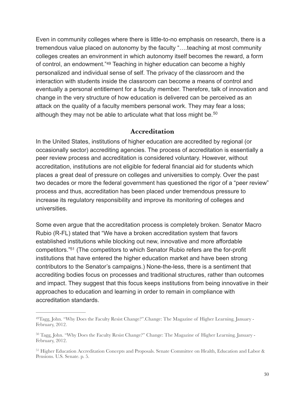Even in community colleges where there is little-to-no emphasis on research, there is a tremendous value placed on autonomy by the faculty "….teaching at most community colleges creates an environment in which autonomy itself becomes the reward, a form of control, an endowment."<sup>[49](#page-29-0)</sup> Teaching in higher education can become a highly personalized and individual sense of self. The privacy of the classroom and the interaction with students inside the classroom can become a means of control and eventually a personal entitlement for a faculty member. Therefore, talk of innovation and change in the very structure of how education is delivered can be perceived as an attack on the quality of a faculty members personal work. They may fear a loss; although they may not be able to articulate what that loss might be.<sup>[50](#page-29-1)</sup>

#### <span id="page-29-4"></span><span id="page-29-3"></span>**Accreditation**

In the United States, institutions of higher education are accredited by regional (or occasionally sector) accrediting agencies. The process of accreditation is essentially a peer review process and accreditation is considered voluntary. However, without accreditation, institutions are not eligible for federal financial aid for students which places a great deal of pressure on colleges and universities to comply. Over the past two decades or more the federal government has questioned the rigor of a "peer review" process and thus, accreditation has been placed under tremendous pressure to increase its regulatory responsibility and improve its monitoring of colleges and universities.

<span id="page-29-5"></span>Some even argue that the accreditation process is completely broken. Senator Macro Rubio (R-FL) stated that "We have a broken accreditation system that favors established institutions while blocking out new, innovative and more affordable competitors.["](#page-29-2)<sup>[51](#page-29-2)</sup> (The competitors to which Senator Rubio refers are the for-profit institutions that have entered the higher education market and have been strong contributors to the Senator's campaigns.) None-the-less, there is a sentiment that accrediting bodies focus on processes and traditional structures, rather than outcomes and impact. They suggest that this focus keeps institutions from being innovative in their approaches to education and learning in order to remain in compliance with accreditation standards.

<span id="page-29-0"></span><sup>&</sup>lt;sup>49</sup>[T](#page-29-3)agg, John. "Why Does the Faculty Resist Change?". Change: The Magazine of Higher Learning. January -February, 2012.

<span id="page-29-1"></span><sup>&</sup>lt;sup>50</sup>Tagg, John. "Why Does the Faculty Resist Change?" Change: The Magazine of Higher Learning. January -February, 2012.

<span id="page-29-2"></span><sup>&</sup>lt;sup>[51](#page-29-5)</sup> Higher Education Accreditation Concepts and Proposals. Senate Committee on Health, Education and Labor & Pensions. U.S. Senate. p. 5.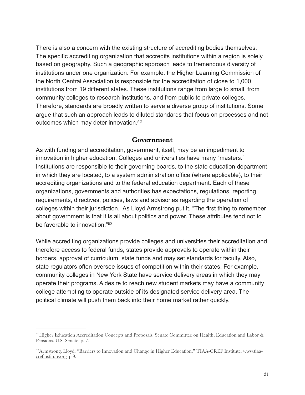There is also a concern with the existing structure of accrediting bodies themselves. The specific accrediting organization that accredits institutions within a region is solely based on geography. Such a geographic approach leads to tremendous diversity of institutions under one organization. For example, the Higher Learning Commission of the North Central Association is responsible for the accreditation of close to 1,000 institutions from 19 different states. These institutions range from large to small, from community colleges to research institutions, and from public to private colleges. Therefore, standards are broadly written to serve a diverse group of institutions. Some argue that such an approach leads to diluted standards that focus on processes and not outcomes which may deter innovation[.52](#page-30-0)

#### <span id="page-30-2"></span>**Government**

As with funding and accreditation, government, itself, may be an impediment to innovation in higher education. Colleges and universities have many "masters." Institutions are responsible to their governing boards, to the state education department in which they are located, to a system administration office (where applicable), to their accrediting organizations and to the federal education department. Each of these organizations, governments and authorities has expectations, regulations, reporting requirements, directives, policies, laws and advisories regarding the operation of colleges within their jurisdiction. As Lloyd Armstrong put it, "The first thing to remember about government is that it is all about politics and power. These attributes tend not to be favorable to innovation."[53](#page-30-1)

<span id="page-30-3"></span>While accrediting organizations provide colleges and universities their accreditation and therefore access to federal funds, states provide approvals to operate within their borders, approval of curriculum, state funds and may set standards for faculty. Also, state regulators often oversee issues of competition within their states. For example, community colleges in New York State have service delivery areas in which they may operate their programs. A desire to reach new student markets may have a community college attempting to operate outside of its designated service delivery area. The political climate will push them back into their home market rather quickly.

<span id="page-30-0"></span><sup>&</sup>lt;sup>52</sup>[H](#page-30-2)igher Education Accreditation Concepts and Proposals. Senate Committee on Health, Education and Labor & Pensions. U.S. Senate. p. 7.

<span id="page-30-1"></span><sup>&</sup>lt;sup>53</sup> [Armstrong, Lloyd. "Barriers to Innovation and Change in Higher Education." TIAA-CREF Institute. www.tiaa](http://www.tiaa-crefinstitute.org) crefinstitute.org. p.9.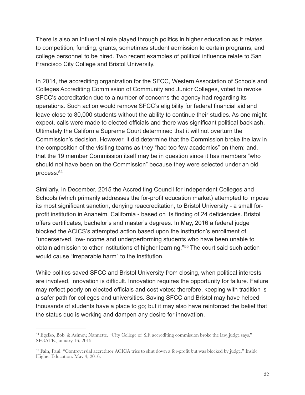There is also an influential role played through politics in higher education as it relates to competition, funding, grants, sometimes student admission to certain programs, and college personnel to be hired. Two recent examples of political influence relate to San Francisco City College and Bristol University.

In 2014, the accrediting organization for the SFCC, Western Association of Schools and Colleges Accrediting Commission of Community and Junior Colleges, voted to revoke SFCC's accreditation due to a number of concerns the agency had regarding its operations. Such action would remove SFCC's eligibility for federal financial aid and leave close to 80,000 students without the ability to continue their studies. As one might expect, calls were made to elected officials and there was significant political backlash. Ultimately the California Supreme Court determined that it will not overturn the Commission's decision. However, it did determine that the Commission broke the law in the composition of the visiting teams as they "had too few academics" on them; and, that the 19 member Commission itself may be in question since it has members "who should not have been on the Commission" because they were selected under an old process[.](#page-31-0) [54](#page-31-0)

<span id="page-31-2"></span>Similarly, in December, 2015 the Accrediting Council for Independent Colleges and Schools (which primarily addresses the for-profit education market) attempted to impose its most significant sanction, denying reaccreditation, to Bristol University - a small forprofit institution in Anaheim, California - based on its finding of 24 deficiencies. Bristol offers certificates, bachelor's and master's degrees. In May, 2016 a federal judge blocked the ACICS's attempted action based upon the institution's enrollment of "underserved, low-income and underperforming students who have been unable to obtain admission to other institutions of higher learning."<sup>[55](#page-31-1)</sup> The court said such action would cause "irreparable harm" to the institution.

<span id="page-31-3"></span>While politics saved SFCC and Bristol University from closing, when political interests are involved, innovation is difficult. Innovation requires the opportunity for failure. Failure may reflect poorly on elected officials and cost votes; therefore, keeping with tradition is a safer path for colleges and universities. Saving SFCC and Bristol may have helped thousands of students have a place to go; but it may also have reinforced the belief that the status quo is working and dampen any desire for innovation.

<span id="page-31-0"></span>Egelko, Bob. & Asimov, Nannette. "City College of S.F. accrediting commission broke the law, judge says." [54](#page-31-2) SFGATE. January 16, 2015.

<span id="page-31-1"></span><sup>&</sup>lt;sup>[55](#page-31-3)</sup> Fain, Paul. "Controversial accreditor ACICA tries to shut down a for-profit but was blocked by judge." Inside Higher Education. May 4, 2016.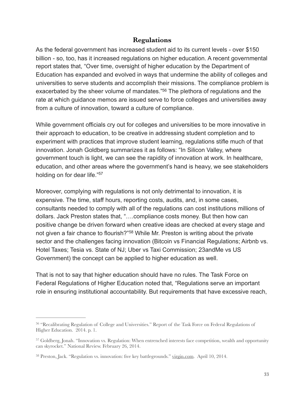#### <span id="page-32-3"></span>**Regulations**

As the federal government has increased student aid to its current levels - over \$150 billion - so, too, has it increased regulations on higher education. A recent governmental report states that, "Over time, oversight of higher education by the Department of Education has expanded and evolved in ways that undermine the ability of colleges and universities to serve students and accomplish their missions. The compliance problem is exacerbated by the sheer volume of mandates.["](#page-32-0)<sup>[56](#page-32-0)</sup> The plethora of regulations and the rate at which guidance memos are issued serve to force colleges and universities away from a culture of innovation, toward a culture of compliance.

While government officials cry out for colleges and universities to be more innovative in their approach to education, to be creative in addressing student completion and to experiment with practices that improve student learning, regulations stifle much of that innovation. Jonah Goldberg summarizes it as follows: "In Silicon Valley, where government touch is light, we can see the rapidity of innovation at work. In healthcare, education, and other areas where the government's hand is heavy, we see stakeholders holding on for dear life.["57](#page-32-1)

<span id="page-32-4"></span>Moreover, complying with regulations is not only detrimental to innovation, it is expensive. The time, staff hours, reporting costs, audits, and, in some cases, consultants needed to comply with all of the regulations can cost institutions millions of dollars. Jack Preston states that, "….compliance costs money. But then how can positive change be driven forward when creative ideas are checked at every stage and notgiven a fair chance to flourish?"<sup>[58](#page-32-2)</sup> While Mr. Preston is writing about the private sector and the challenges facing innovation (Bitcoin vs Financial Regulations; Airbnb vs. Hotel Taxes; Tesia vs. State of NJ; Uber vs Taxi Commission; 23andMe vs US Government) the concept can be applied to higher education as well.

<span id="page-32-5"></span>That is not to say that higher education should have no rules. The Task Force on Federal Regulations of Higher Education noted that, "Regulations serve an important role in ensuring institutional accountability. But requirements that have excessive reach,

<span id="page-32-0"></span><sup>&</sup>lt;sup>[56](#page-32-3)</sup> "Recalibrating Regulation of College and Universities." Report of the Task Force on Federal Regulations of Higher Education. 2014. p. 1.

<span id="page-32-1"></span><sup>&</sup>lt;sup>[57](#page-32-4)</sup> Goldberg, Jonah. "Innovation vs. Regulation: When entrenched interests face competition, wealth and opportunity can skyrocket." National Review. February 26, 2014.

<span id="page-32-2"></span><sup>&</sup>lt;sup>58</sup>Preston, Jack. "Regulation vs. innovation: five key battlegrounds." [virgin.com.](http://virgin.com) April 10, 2014.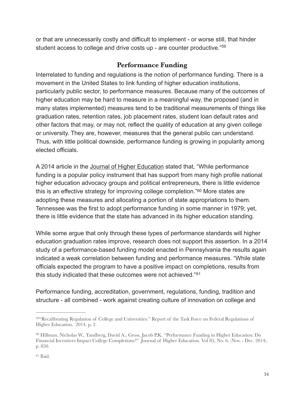or that are unnecessarily costly and difficult to implement - or worse still, that hinder student access to college and drive costs up - are counter productive."[59](#page-33-0)

#### <span id="page-33-4"></span><span id="page-33-3"></span>**Performance Funding**

Interrelated to funding and regulations is the notion of performance funding. There is a movement in the United States to link funding of higher education institutions, particularly public sector, to performance measures. Because many of the outcomes of higher education may be hard to measure in a meaningful way, the proposed (and in many states implemented) measures tend to be traditional measurements of things like graduation rates, retention rates, job placement rates, student loan default rates and other factors that may, or may not, reflect the quality of education at any given college or university. They are, however, measures that the general public can understand. Thus, with little political downside, performance funding is growing in popularity among elected officials.

A 2014 article in the Journal of Higher Education stated that, "While performance funding is a popular policy instrument that has support from many high profile national higher education advocacy groups and political entrepreneurs, there is little evidence thisis an effective strategy for improving college completion." $60$  More states are adopting these measures and allocating a portion of state appropriations to them. Tennessee was the first to adopt performance funding in some manner in 1979; yet, there is little evidence that the state has advanced in its higher education standing.

While some argue that only through these types of performance standards will higher education graduation rates improve, research does not support this assertion. In a 2014 study of a performance-based funding model enacted in Pennsylvania the results again indicated a weak correlation between funding and performance measures. "While state officials expected the program to have a positive impact on completions, results from this study indicated that these outcomes were not achieved."[61](#page-33-2)

<span id="page-33-5"></span>Performance funding, accreditation, government, regulations, funding, tradition and structure - all combined - work against creating culture of innovation on college and

<span id="page-33-0"></span><sup>&</sup>lt;sup>594</sup> Recalibrating Regulation of College and Universities.["](#page-33-3) Report of the Task Force on Federal Regulations of Higher Education. 2014. p. 2.

<span id="page-33-2"></span><span id="page-33-1"></span><sup>&</sup>lt;sup>[60](#page-33-4)</sup> Hillman, Nicholas W., Tandberg, David A., Gross, Jacob P.K. "Performance Funding in Higher Education: Do Financial Incentives Impact College Completions?" Journal of Higher Education. Vol 85, No. 6. (Nov. - Dec. 2014). p. 850.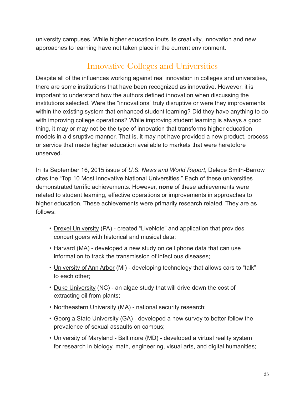university campuses. While higher education touts its creativity, innovation and new approaches to learning have not taken place in the current environment.

# Innovative Colleges and Universities

Despite all of the influences working against real innovation in colleges and universities, there are some institutions that have been recognized as innovative. However, it is important to understand how the authors defined innovation when discussing the institutions selected. Were the "innovations" truly disruptive or were they improvements within the existing system that enhanced student learning? Did they have anything to do with improving college operations? While improving student learning is always a good thing, it may or may not be the type of innovation that transforms higher education models in a disruptive manner. That is, it may not have provided a new product, process or service that made higher education available to markets that were heretofore unserved.

In its September 16, 2015 issue of *U.S. News and World Report*, Delece Smith-Barrow cites the "Top 10 Most Innovative National Universities." Each of these universities demonstrated terrific achievements. However, **none** of these achievements were related to student learning, effective operations or improvements in approaches to higher education. These achievements were primarily research related. They are as follows:

- Drexel University (PA) created "LiveNote" and application that provides concert goers with historical and musical data;
- Harvard (MA) developed a new study on cell phone data that can use information to track the transmission of infectious diseases;
- University of Ann Arbor (MI) developing technology that allows cars to "talk" to each other;
- Duke University (NC) an algae study that will drive down the cost of extracting oil from plants;
- Northeastern University (MA) national security research;
- Georgia State University (GA) developed a new survey to better follow the prevalence of sexual assaults on campus;
- University of Maryland Baltimore (MD) developed a virtual reality system for research in biology, math, engineering, visual arts, and digital humanities;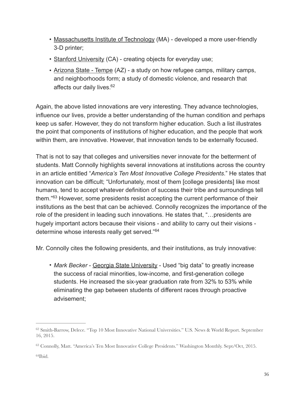- Massachusetts Institute of Technology (MA) developed a more user-friendly 3-D printer;
- Stanford University (CA) creating objects for everyday use;
- <span id="page-35-3"></span>• Arizona State - Tempe (AZ) - a study on how refugee camps, military camps, and neighborhoods form; a study of domestic violence, and research that affects our daily lives.<sup>62</sup>

Again, the above listed innovations are very interesting. They advance technologies, influence our lives, provide a better understanding of the human condition and perhaps keep us safer. However, they do not transform higher education. Such a list illustrates the point that components of institutions of higher education, and the people that work within them, are innovative. However, that innovation tends to be externally focused.

That is not to say that colleges and universities never innovate for the betterment of students. Matt Connolly highlights several innovations at institutions across the country in an article entitled "*America's Ten Most Innovative College Presidents*." He states that innovation can be difficult; "Unfortunately, most of them [college presidents] like most humans, tend to accept whatever definition of success their tribe and surroundings tell them.<sup>"[63](#page-35-1)</sup> However, some presidents resist accepting the current performance of their institutions as the best that can be achieved. Connolly recognizes the importance of the role of the president in leading such innovations. He states that, "…presidents are hugely important actors because their visions - and ability to carry out their visions determine whose interests really get served."[64](#page-35-2)

<span id="page-35-4"></span>Mr. Connolly cites the following presidents, and their institutions, as truly innovative:

<span id="page-35-5"></span>• Mark Becker - Georgia State University - Used "big data" to greatly increase the success of racial minorities, low-income, and first-generation college students. He increased the six-year graduation rate from 32% to 53% while eliminating the gap between students of different races through proactive advisement;

<span id="page-35-0"></span>[<sup>62</sup>](#page-35-3) Smith-Barrow, Delece. "Top 10 Most Innovative National Universities." U.S. News & World Report. September 16, 2015.

<span id="page-35-1"></span><sup>&</sup>lt;sup>[63](#page-35-4)</sup> Connolly, Matt. "America's Ten Most Innovative College Presidents." Washington Monthly. Sept/Oct, 2015.

<span id="page-35-2"></span> $64$ Ibid.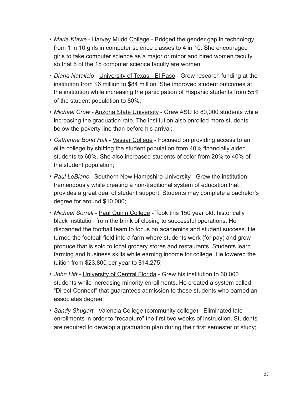- *Maria Klawe* Harvey Mudd College Bridged the gender gap in technology from 1 in 10 girls in computer science classes to 4 in 10. She encouraged girls to take computer science as a major or minor and hired women faculty so that 6 of the 15 computer science faculty are women;
- *Diana Natalicio* University of Texas El Paso Grew research funding at the institution from \$6 million to \$84 million. She improved student outcomes at the institution while increasing the participation of Hispanic students from 55% of the student population to 80%;
- *Michael Crow Arizona State University Grew ASU to 80,000 students while* increasing the graduation rate. The institution also enrolled more students below the poverty line than before his arrival;
- *Catharine Bond Hall* Vassar College Focused on providing access to an elite college by shifting the student population from 40% financially aided students to 60%. She also increased students of color from 20% to 40% of the student population;
- *Paul LeBlanc* Southern New Hampshire University Grew the institution tremendously while creating a non-traditional system of education that provides a great deal of student support. Students may complete a bachelor's degree for around \$10,000;
- *Michael Sorrell* **Paul Quinn College** Took this 150 year old, historically black institution from the brink of closing to successful operations. He disbanded the football team to focus on academics and student success. He turned the football field into a farm where students work (for pay) and grow produce that is sold to local grocery stores and restaurants. Students learn farming and business skills while earning income for college. He lowered the tuition from \$23,800 per year to \$14,275;
- *John Hitt* University of Central Florida Grew his institution to 60,000 students while increasing minority enrollments. He created a system called "Direct Connect" that guarantees admission to those students who earned an associates degree;
- *Sandy Shugart* Valencia College (community college) Eliminated late enrollments in order to "recapture" the first two weeks of instruction. Students are required to develop a graduation plan during their first semester of study;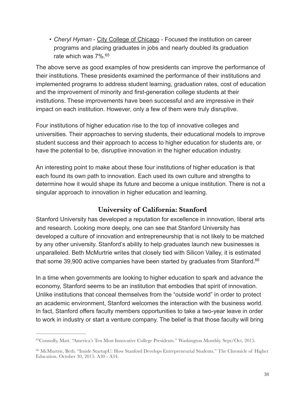<span id="page-37-2"></span>• *Cheryl Hyman* - City College of Chicago - Focused the institution on career programs and placing graduates in jobs and nearly doubled its graduation rate which was 7%[.65](#page-37-0)

The above serve as good examples of how presidents can improve the performance of their institutions. These presidents examined the performance of their institutions and implemented programs to address student learning, graduation rates, cost of education and the improvement of minority and first-generation college students at their institutions. These improvements have been successful and are impressive in their impact on each institution. However, only a few of them were truly disruptive.

Four institutions of higher education rise to the top of innovative colleges and universities. Their approaches to serving students, their educational models to improve student success and their approach to access to higher education for students are, or have the potential to be, disruptive innovation in the higher education industry.

An interesting point to make about these four institutions of higher education is that each found its own path to innovation. Each used its own culture and strengths to determine how it would shape its future and become a unique institution. There is not a singular approach to innovation in higher education and learning.

#### <span id="page-37-3"></span>**University of California: Stanford**

Stanford University has developed a reputation for excellence in innovation, liberal arts and research. Looking more deeply, one can see that Stanford University has developed a culture of innovation and entrepreneurship that is not likely to be matched by any other university. Stanford's ability to help graduates launch new businesses is unparalleled. Beth McMurtrie writes that closely tied with Silicon Valley, it is estimated that some 39,900 active companies have been started by graduates from Stanford. $66$ 

In a time when governments are looking to higher education to spark and advance the economy, Stanford seems to be an institution that embodies that spirit of innovation. Unlike institutions that conceal themselves from the "outside world" in order to protect an academic environment, Stanford welcomes the interaction with the business world. In fact, Stanford offers faculty members opportunities to take a two-year leave in order to work in industry or start a venture company. The belief is that those faculty will bring

<span id="page-37-0"></span><sup>&</sup>lt;sup>65</sup>[C](#page-37-2)onnolly, Matt. "America's Ten Most Innovative College Presidents." Washington Monthly. Sept/Oct, 2015.

<span id="page-37-1"></span><sup>&</sup>lt;sup>[66](#page-37-3)</sup> McMurtrie, Beth. "Inside StartupU: How Stanford Develops Entrepreneurial Students." The Chronicle of Higher Education. October 30, 2015. A30 - A34.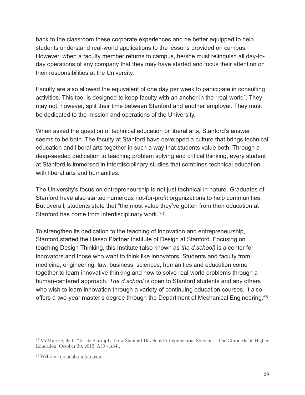back to the classroom these corporate experiences and be better equipped to help students understand real-world applications to the lessons provided on campus. However, when a faculty member returns to campus, he/she must relinquish all day-today operations of any company that they may have started and focus their attention on their responsibilities at the University.

Faculty are also allowed the equivalent of one day per week to participate in consulting activities. This too, is designed to keep faculty with an anchor in the "real-world". They may not, however, split their time between Stanford and another employer. They must be dedicated to the mission and operations of the University.

When asked the question of technical education or liberal arts, Stanford's answer seems to be both. The faculty at Stanford have developed a culture that brings technical education and liberal arts together in such a way that students value both. Through a deep-seeded dedication to teaching problem solving and critical thinking, every student at Stanford is immersed in interdisciplinary studies that combines technical education with liberal arts and humanities.

The University's focus on entrepreneurship is not just technical in nature. Graduates of Stanford have also started numerous not-for-profit organizations to help communities. But overall, students state that "the most value they've gotten from their education at Stanford has come from interdisciplinary work.["67](#page-38-0)

<span id="page-38-2"></span>To strengthen its dedication to the teaching of innovation and entrepreneurship, Stanford started the Hasso Plattner Institute of Design at Stanford. Focusing on teaching Design Thinking, this Institute (also known as *the d.school)* is a center for innovators and those who want to think like innovators. Students and faculty from medicine, engineering, law, business, sciences, humanities and education come together to learn innovative thinking and how to solve real-world problems through a human-centered approach. *The d.school* is open to Stanford students and any others who wish to learn innovation through a variety of continuing education courses. It also offers a two-year master's degree through the Department of Mechanical Engineering.[68](#page-38-1)

<span id="page-38-3"></span><span id="page-38-0"></span><sup>&</sup>lt;sup>67</sup>McMurtrie, Beth. "Inside StartupU: How Stanford Develops Entrepreneurial Students." The Chronicle of Higher Education. October 30, 2015. A30 - A34..

<span id="page-38-1"></span><sup>&</sup>lt;sup>68</sup> Website - [dschool.stanford.edu](http://dschool.stanford.edu)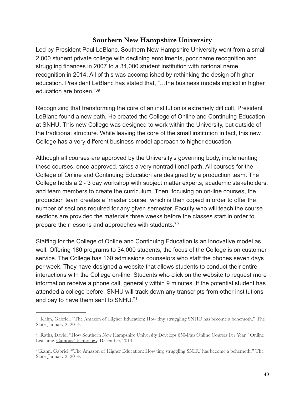#### <span id="page-39-3"></span>**Southern New Hampshire University**

Led by President Paul LeBlanc, Southern New Hampshire University went from a small 2,000 student private college with declining enrollments, poor name recognition and struggling finances in 2007 to a 34,000 student institution with national name recognition in 2014. All of this was accomplished by rethinking the design of higher education. President LeBlanc has stated that, "…the business models implicit in higher education are broken.["69](#page-39-0)

Recognizing that transforming the core of an institution is extremely difficult, President LeBlanc found a new path. He created the College of Online and Continuing Education at SNHU. This new College was designed to work within the University, but outside of the traditional structure. While leaving the core of the small institution in tact, this new College has a very different business-model approach to higher education.

Although all courses are approved by the University's governing body, implementing these courses, once approved, takes a very nontraditional path. All courses for the College of Online and Continuing Education are designed by a production team. The College holds a 2 - 3 day workshop with subject matter experts, academic stakeholders, and team members to create the curriculum. Then, focusing on on-line courses, the production team creates a "master course" which is then copied in order to offer the number of sections required for any given semester. Faculty who will teach the course sections are provided the materials three weeks before the classes start in order to prepare their lessons and approaches with students[.70](#page-39-1)

<span id="page-39-4"></span>Staffing for the College of Online and Continuing Education is an innovative model as well. Offering 180 programs to 34,000 students, the focus of the College is on customer service. The College has 160 admissions counselors who staff the phones seven days per week. They have designed a website that allows students to conduct their entire interactions with the College on-line. Students who click on the website to request more information receive a phone call, generally within 9 minutes. If the potential student has attended a college before, SNHU will track down any transcripts from other institutions and pay to have them sent to SNHU.<sup>71</sup>

<span id="page-39-5"></span><span id="page-39-0"></span> $^{69}$  $^{69}$  $^{69}$  Kahn, Gabriel. "The Amazon of Higher Education: How tiny, struggling SNHU has become a behemoth." The Slate. January 2, 2014.

<span id="page-39-1"></span><sup>&</sup>lt;sup>70</sup>Raths, David. "How Southern New Hampshire University Develops 650-Plus Online Courses Per Year." Online Learning. Campus Technology. December, 2014.

<span id="page-39-2"></span><sup>&</sup>lt;sup>71</sup>[K](#page-39-5)ahn, Gabriel. "The Amazon of Higher Education: How tiny, struggling SNHU has become a behemoth." The Slate. January 2, 2014.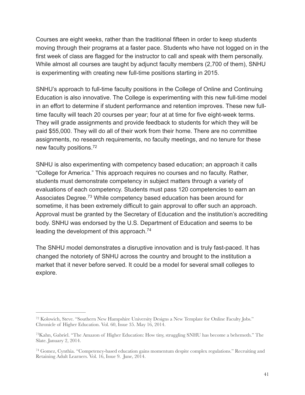Courses are eight weeks, rather than the traditional fifteen in order to keep students moving through their programs at a faster pace. Students who have not logged on in the first week of class are flagged for the instructor to call and speak with them personally. While almost all courses are taught by adjunct faculty members (2,700 of them), SNHU is experimenting with creating new full-time positions starting in 2015.

SNHU's approach to full-time faculty positions in the College of Online and Continuing Education is also innovative. The College is experimenting with this new full-time model in an effort to determine if student performance and retention improves. These new fulltime faculty will teach 20 courses per year; four at at time for five eight-week terms. They will grade assignments and provide feedback to students for which they will be paid \$55,000. They will do all of their work from their home. There are no committee assignments, no research requirements, no faculty meetings, and no tenure for these new faculty positions[.72](#page-40-0)

<span id="page-40-4"></span><span id="page-40-3"></span>SNHU is also experimenting with competency based education; an approach it calls "College for America." This approach requires no courses and no faculty. Rather, students must demonstrate competency in subject matters through a variety of evaluations of each competency. Students must pass 120 competencies to earn an Associates Degree.<sup>[73](#page-40-1)</sup> While competency based education has been around for sometime, it has been extremely difficult to gain approval to offer such an approach. Approval must be granted by the Secretary of Education and the institution's accrediting body. SNHU was endorsed by the U.S. Department of Education and seems to be leading the development of this approach.<sup>[74](#page-40-2)</sup>

<span id="page-40-5"></span>The SNHU model demonstrates a disruptive innovation and is truly fast-paced. It has changed the notoriety of SNHU across the country and brought to the institution a market that it never before served. It could be a model for several small colleges to explore.

<span id="page-40-0"></span> $^{72}$  $^{72}$  $^{72}$  Kolowich, Steve. "Southern New Hampshire University Designs a New Template for Online Faculty Jobs." Chronicle of Higher Education. Vol. 60, Issue 35. May 16, 2014.

<span id="page-40-1"></span> $^{73}$  $^{73}$  $^{73}$ [K](#page-40-4)ahn, Gabriel. "The Amazon of Higher Education: How tiny, struggling SNHU has become a behemoth." The Slate. January 2, 2014.

<span id="page-40-2"></span><sup>&</sup>lt;sup>[74](#page-40-5)</sup> Gomez, Cynthia. "Competency-based education gains momentum despite complex regulations." Recruiting and Retaining Adult Learners. Vol. 16, Issue 9. June, 2014.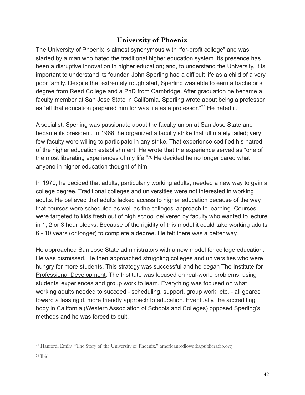#### <span id="page-41-2"></span>**University of Phoenix**

The University of Phoenix is almost synonymous with "for-profit college" and was started by a man who hated the traditional higher education system. Its presence has been a disruptive innovation in higher education; and, to understand the University, it is important to understand its founder. John Sperling had a difficult life as a child of a very poor family. Despite that extremely rough start, Sperling was able to earn a bachelor's degree from Reed College and a PhD from Cambridge. After graduation he became a faculty member at San Jose State in California. Sperling wrote about being a professor as "all that education prepared him for was life as a professor."<sup>[75](#page-41-0)</sup> He hated it.

A socialist, Sperling was passionate about the faculty union at San Jose State and became its president. In 1968, he organized a faculty strike that ultimately failed; very few faculty were willing to participate in any strike. That experience codified his hatred of the higher education establishment. He wrote that the experience served as "one of themost liberating experiences of my life."[76](#page-41-1) He decided he no longer cared what anyone in higher education thought of him.

<span id="page-41-3"></span>In 1970, he decided that adults, particularly working adults, needed a new way to gain a college degree. Traditional colleges and universities were not interested in working adults. He believed that adults lacked access to higher education because of the way that courses were scheduled as well as the colleges' approach to learning. Courses were targeted to kids fresh out of high school delivered by faculty who wanted to lecture in 1, 2 or 3 hour blocks. Because of the rigidity of this model it could take working adults 6 - 10 years (or longer) to complete a degree. He felt there was a better way.

He approached San Jose State administrators with a new model for college education. He was dismissed. He then approached struggling colleges and universities who were hungry for more students. This strategy was successful and he began The Institute for Professional Development. The Institute was focused on real-world problems, using students' experiences and group work to learn. Everything was focused on what working adults needed to succeed - scheduling, support, group work, etc. - all geared toward a less rigid, more friendly approach to education. Eventually, the accrediting body in California (Western Association of Schools and Colleges) opposed Sperling's methods and he was forced to quit.

<span id="page-41-0"></span><sup>&</sup>lt;sup>75</sup>Hanford, Emily. "The Story of the University of Phoenix." [americanredioworks.publicradio.org.](http://americanredioworks.publicradio.org)

<span id="page-41-1"></span> $76$  Ibid.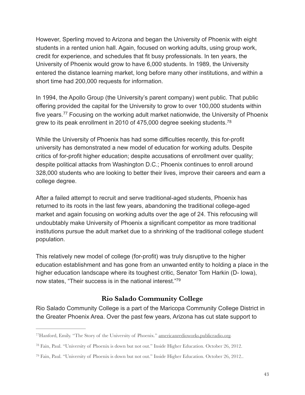However, Sperling moved to Arizona and began the University of Phoenix with eight students in a rented union hall. Again, focused on working adults, using group work, credit for experience, and schedules that fit busy professionals. In ten years, the University of Phoenix would grow to have 6,000 students. In 1989, the University entered the distance learning market, long before many other institutions, and within a short time had 200,000 requests for information.

<span id="page-42-3"></span>In 1994, the Apollo Group (the University's parent company) went public. That public offering provided the capital for the University to grow to over 100,000 students within fiveyears.<sup>[77](#page-42-0)</sup> Focusing on the working adult market nationwide, the University of Phoenix grew to its peak enrollment in 2010 of 475,000 degree seeking students.[78](#page-42-1)

<span id="page-42-4"></span>While the University of Phoenix has had some difficulties recently, this for-profit university has demonstrated a new model of education for working adults. Despite critics of for-profit higher education; despite accusations of enrollment over quality; despite political attacks from Washington D.C.; Phoenix continues to enroll around 328,000 students who are looking to better their lives, improve their careers and earn a college degree.

After a failed attempt to recruit and serve traditional-aged students, Phoenix has returned to its roots in the last few years, abandoning the traditional college-aged market and again focusing on working adults over the age of 24. This refocusing will undoubtably make University of Phoenix a significant competitor as more traditional institutions pursue the adult market due to a shrinking of the traditional college student population.

This relatively new model of college (for-profit) was truly disruptive to the higher education establishment and has gone from an unwanted entity to holding a place in the higher education landscape where its toughest critic, Senator Tom Harkin (D- Iowa), now states, "Their success is in the national interest.["79](#page-42-2)

#### <span id="page-42-5"></span>**Rio Salado Community College**

Rio Salado Community College is a part of the Maricopa Community College District in the Greater Phoenix Area. Over the past few years, Arizona has cut state support to

<span id="page-42-0"></span><sup>&</sup>lt;sup>77</sup> [H](#page-42-3)anford, Emily. "The Story of the University of Phoenix." [americanredioworks.publicradio.org.](http://americanredioworks.publicradio.org)

<span id="page-42-1"></span><sup>&</sup>lt;sup>[78](#page-42-4)</sup> Fain, Paul. "University of Phoenix is down but not out." Inside Higher Education. October 26, 2012.

<span id="page-42-2"></span><sup>&</sup>lt;sup>[79](#page-42-5)</sup> Fain, Paul. "University of Phoenix is down but not out." Inside Higher Education. October 26, 2012..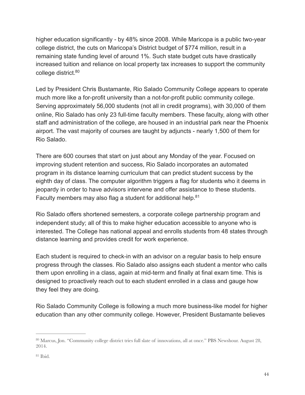higher education significantly - by 48% since 2008. While Maricopa is a public two-year college district, the cuts on Maricopa's District budget of \$774 million, result in a remaining state funding level of around 1%. Such state budget cuts have drastically increased tuition and reliance on local property tax increases to support the community college district.<sup>80</sup>

<span id="page-43-2"></span>Led by President Chris Bustamante, Rio Salado Community College appears to operate much more like a for-profit university than a not-for-profit public community college. Serving approximately 56,000 students (not all in credit programs), with 30,000 of them online, Rio Salado has only 23 full-time faculty members. These faculty, along with other staff and administration of the college, are housed in an industrial park near the Phoenix airport. The vast majority of courses are taught by adjuncts - nearly 1,500 of them for Rio Salado.

There are 600 courses that start on just about any Monday of the year. Focused on improving student retention and success, Rio Salado incorporates an automated program in its distance learning curriculum that can predict student success by the eighth day of class. The computer algorithm triggers a flag for students who it deems in jeopardy in order to have advisors intervene and offer assistance to these students. Faculty members may also flag a student for additional help.<sup>81</sup>

<span id="page-43-3"></span>Rio Salado offers shortened semesters, a corporate college partnership program and independent study; all of this to make higher education accessible to anyone who is interested. The College has national appeal and enrolls students from 48 states through distance learning and provides credit for work experience.

Each student is required to check-in with an advisor on a regular basis to help ensure progress through the classes. Rio Salado also assigns each student a mentor who calls them upon enrolling in a class, again at mid-term and finally at final exam time. This is designed to proactively reach out to each student enrolled in a class and gauge how they feel they are doing.

Rio Salado Community College is following a much more business-like model for higher education than any other community college. However, President Bustamante believes

<span id="page-43-0"></span><sup>&</sup>lt;sup>[80](#page-43-2)</sup> Marcus, Jon. "Community college district tries full slate of innovations, all at once." PBS Newshour. August 28, 2014.

<span id="page-43-1"></span> $81$  Ibid.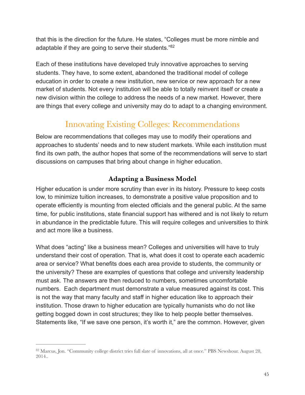that this is the direction for the future. He states, "Colleges must be more nimble and adaptable if they are going to serve their students.["82](#page-44-0)

Each of these institutions have developed truly innovative approaches to serving students. They have, to some extent, abandoned the traditional model of college education in order to create a new institution, new service or new approach for a new market of students. Not every institution will be able to totally reinvent itself or create a new division within the college to address the needs of a new market. However, there are things that every college and university may do to adapt to a changing environment.

# <span id="page-44-1"></span>Innovating Existing Colleges: Recommendations

Below are recommendations that colleges may use to modify their operations and approaches to students' needs and to new student markets. While each institution must find its own path, the author hopes that some of the recommendations will serve to start discussions on campuses that bring about change in higher education.

#### **Adapting a Business Model**

Higher education is under more scrutiny than ever in its history. Pressure to keep costs low, to minimize tuition increases, to demonstrate a positive value proposition and to operate efficiently is mounting from elected officials and the general public. At the same time, for public institutions, state financial support has withered and is not likely to return in abundance in the predictable future. This will require colleges and universities to think and act more like a business.

What does "acting" like a business mean? Colleges and universities will have to truly understand their cost of operation. That is, what does it cost to operate each academic area or service? What benefits does each area provide to students, the community or the university? These are examples of questions that college and university leadership must ask. The answers are then reduced to numbers, sometimes uncomfortable numbers. Each department must demonstrate a value measured against its cost. This is not the way that many faculty and staff in higher education like to approach their institution. Those drawn to higher education are typically humanists who do not like getting bogged down in cost structures; they like to help people better themselves. Statements like, "If we save one person, it's worth it," are the common. However, given

<span id="page-44-0"></span><sup>82</sup>Marcus, Jon. "Community college district tries full slate of innovations, all at once." PBS Newshour. August 28, 2014..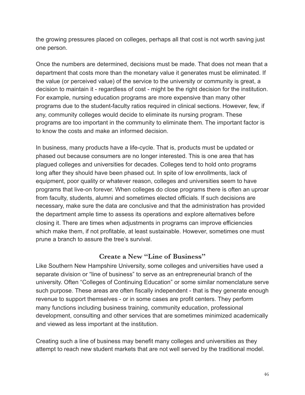the growing pressures placed on colleges, perhaps all that cost is not worth saving just one person.

Once the numbers are determined, decisions must be made. That does not mean that a department that costs more than the monetary value it generates must be eliminated. If the value (or perceived value) of the service to the university or community is great, a decision to maintain it - regardless of cost - might be the right decision for the institution. For example, nursing education programs are more expensive than many other programs due to the student-faculty ratios required in clinical sections. However, few, if any, community colleges would decide to eliminate its nursing program. These programs are too important in the community to eliminate them. The important factor is to know the costs and make an informed decision.

In business, many products have a life-cycle. That is, products must be updated or phased out because consumers are no longer interested. This is one area that has plagued colleges and universities for decades. Colleges tend to hold onto programs long after they should have been phased out. In spite of low enrollments, lack of equipment, poor quality or whatever reason, colleges and universities seem to have programs that live-on forever. When colleges do close programs there is often an uproar from faculty, students, alumni and sometimes elected officials. If such decisions are necessary, make sure the data are conclusive and that the administration has provided the department ample time to assess its operations and explore alternatives before closing it. There are times when adjustments in programs can improve efficiencies which make them, if not profitable, at least sustainable. However, sometimes one must prune a branch to assure the tree's survival.

#### **Create a New "Line of Business"**

Like Southern New Hampshire University, some colleges and universities have used a separate division or "line of business" to serve as an entrepreneurial branch of the university. Often "Colleges of Continuing Education" or some similar nomenclature serve such purpose. These areas are often fiscally independent - that is they generate enough revenue to support themselves - or in some cases are profit centers. They perform many functions including business training, community education, professional development, consulting and other services that are sometimes minimized academically and viewed as less important at the institution.

Creating such a line of business may benefit many colleges and universities as they attempt to reach new student markets that are not well served by the traditional model.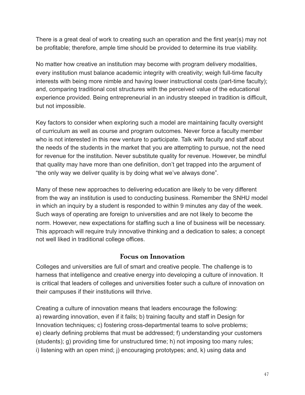There is a great deal of work to creating such an operation and the first year(s) may not be profitable; therefore, ample time should be provided to determine its true viability.

No matter how creative an institution may become with program delivery modalities, every institution must balance academic integrity with creativity; weigh full-time faculty interests with being more nimble and having lower instructional costs (part-time faculty); and, comparing traditional cost structures with the perceived value of the educational experience provided. Being entrepreneurial in an industry steeped in tradition is difficult, but not impossible.

Key factors to consider when exploring such a model are maintaining faculty oversight of curriculum as well as course and program outcomes. Never force a faculty member who is not interested in this new venture to participate. Talk with faculty and staff about the needs of the students in the market that you are attempting to pursue, not the need for revenue for the institution. Never substitute quality for revenue. However, be mindful that quality may have more than one definition, don't get trapped into the argument of "the only way we deliver quality is by doing what we've always done".

Many of these new approaches to delivering education are likely to be very different from the way an institution is used to conducting business. Remember the SNHU model in which an inquiry by a student is responded to within 9 minutes any day of the week. Such ways of operating are foreign to universities and are not likely to become the norm. However, new expectations for staffing such a line of business will be necessary. This approach will require truly innovative thinking and a dedication to sales; a concept not well liked in traditional college offices.

#### **Focus on Innovation**

Colleges and universities are full of smart and creative people. The challenge is to harness that intelligence and creative energy into developing a culture of innovation. It is critical that leaders of colleges and universities foster such a culture of innovation on their campuses if their institutions will thrive.

Creating a culture of innovation means that leaders encourage the following: a) rewarding innovation, even if it fails; b) training faculty and staff in Design for Innovation techniques; c) fostering cross-departmental teams to solve problems; e) clearly defining problems that must be addressed; f) understanding your customers (students); g) providing time for unstructured time; h) not imposing too many rules; i) listening with an open mind; j) encouraging prototypes; and, k) using data and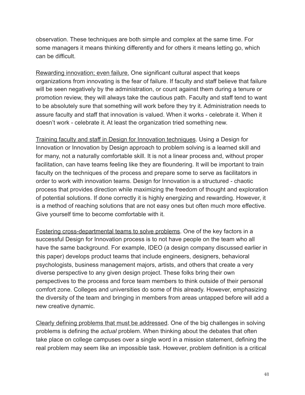observation. These techniques are both simple and complex at the same time. For some managers it means thinking differently and for others it means letting go, which can be difficult.

Rewarding innovation; even failure. One significant cultural aspect that keeps organizations from innovating is the fear of failure. If faculty and staff believe that failure will be seen negatively by the administration, or count against them during a tenure or promotion review, they will always take the cautious path. Faculty and staff tend to want to be absolutely sure that something will work before they try it. Administration needs to assure faculty and staff that innovation is valued. When it works - celebrate it. When it doesn't work - celebrate it. At least the organization tried something new.

Training faculty and staff in Design for Innovation techniques. Using a Design for Innovation or Innovation by Design approach to problem solving is a learned skill and for many, not a naturally comfortable skill. It is not a linear process and, without proper facilitation, can have teams feeling like they are floundering. It will be important to train faculty on the techniques of the process and prepare some to serve as facilitators in order to work with innovation teams. Design for Innovation is a structured - chaotic process that provides direction while maximizing the freedom of thought and exploration of potential solutions. If done correctly it is highly energizing and rewarding. However, it is a method of reaching solutions that are not easy ones but often much more effective. Give yourself time to become comfortable with it.

Fostering cross-departmental teams to solve problems. One of the key factors in a successful Design for Innovation process is to not have people on the team who all have the same background. For example, IDEO (a design company discussed earlier in this paper) develops product teams that include engineers, designers, behavioral psychologists, business management majors, artists, and others that create a very diverse perspective to any given design project. These folks bring their own perspectives to the process and force team members to think outside of their personal comfort zone. Colleges and universities do some of this already. However, emphasizing the diversity of the team and bringing in members from areas untapped before will add a new creative dynamic.

Clearly defining problems that must be addressed. One of the big challenges in solving problems is defining the *actual* problem. When thinking about the debates that often take place on college campuses over a single word in a mission statement, defining the real problem may seem like an impossible task. However, problem definition is a critical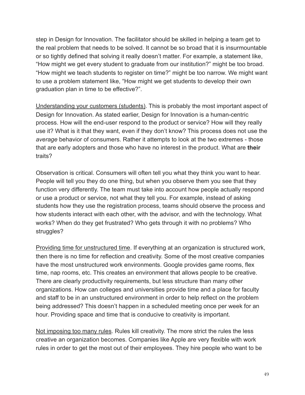step in Design for Innovation. The facilitator should be skilled in helping a team get to the real problem that needs to be solved. It cannot be so broad that it is insurmountable or so tightly defined that solving it really doesn't matter. For example, a statement like, "How might we get every student to graduate from our institution?" might be too broad. "How might we teach students to register on time?" might be too narrow. We might want to use a problem statement like, "How might we get students to develop their own graduation plan in time to be effective?".

Understanding your customers (students). This is probably the most important aspect of Design for Innovation. As stated earlier, Design for Innovation is a human-centric process. How will the end-user respond to the product or service? How will they really use it? What is it that they want, even if they don't know? This process does not use the *average* behavior of consumers. Rather it attempts to look at the two extremes - those that are early adopters and those who have no interest in the product. What are **their** traits?

Observation is critical. Consumers will often tell you what they think you want to hear. People will tell you they do one thing, but when you observe them you see that they function very differently. The team must take into account how people actually respond or use a product or service, not what they tell you. For example, instead of asking students how they use the registration process, teams should observe the process and how students interact with each other, with the advisor, and with the technology. What works? When do they get frustrated? Who gets through it with no problems? Who struggles?

Providing time for unstructured time. If everything at an organization is structured work, then there is no time for reflection and creativity. Some of the most creative companies have the most unstructured work environments. Google provides game rooms, flex time, nap rooms, etc. This creates an environment that allows people to be creative. There are clearly productivity requirements, but less structure than many other organizations. How can colleges and universities provide time and a place for faculty and staff to be in an unstructured environment in order to help reflect on the problem being addressed? This doesn't happen in a scheduled meeting once per week for an hour. Providing space and time that is conducive to creativity is important.

Not imposing too many rules. Rules kill creativity. The more strict the rules the less creative an organization becomes. Companies like Apple are very flexible with work rules in order to get the most out of their employees. They hire people who want to be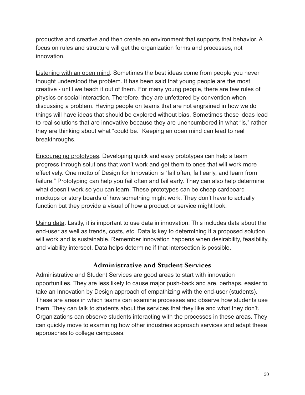productive and creative and then create an environment that supports that behavior. A focus on rules and structure will get the organization forms and processes, not innovation.

Listening with an open mind. Sometimes the best ideas come from people you never thought understood the problem. It has been said that young people are the most creative - until we teach it out of them. For many young people, there are few rules of physics or social interaction. Therefore, they are unfettered by convention when discussing a problem. Having people on teams that are not engrained in how we do things will have ideas that should be explored without bias. Sometimes those ideas lead to real solutions that are innovative because they are unencumbered in what "is," rather they are thinking about what "could be." Keeping an open mind can lead to real breakthroughs.

Encouraging prototypes. Developing quick and easy prototypes can help a team progress through solutions that won't work and get them to ones that will work more effectively. One motto of Design for Innovation is "fail often, fail early, and learn from failure." Prototyping can help you fail often and fail early. They can also help determine what doesn't work so you can learn. These prototypes can be cheap cardboard mockups or story boards of how something might work. They don't have to actually function but they provide a visual of how a product or service might look.

Using data. Lastly, it is important to use data in innovation. This includes data about the end-user as well as trends, costs, etc. Data is key to determining if a proposed solution will work and is sustainable. Remember innovation happens when desirability, feasibility, and viability intersect. Data helps determine if that intersection is possible.

#### **Administrative and Student Services**

Administrative and Student Services are good areas to start with innovation opportunities. They are less likely to cause major push-back and are, perhaps, easier to take an Innovation by Design approach of empathizing with the end-user (students). These are areas in which teams can examine processes and observe how students use them. They can talk to students about the services that they like and what they don't. Organizations can observe students interacting with the processes in these areas. They can quickly move to examining how other industries approach services and adapt these approaches to college campuses.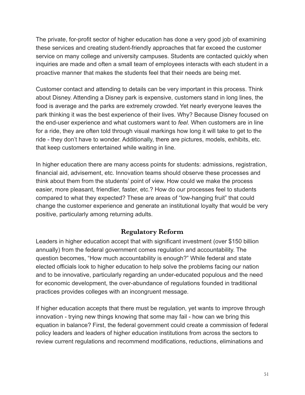The private, for-profit sector of higher education has done a very good job of examining these services and creating student-friendly approaches that far exceed the customer service on many college and university campuses. Students are contacted quickly when inquiries are made and often a small team of employees interacts with each student in a proactive manner that makes the students feel that their needs are being met.

Customer contact and attending to details can be very important in this process. Think about Disney. Attending a Disney park is expensive, customers stand in long lines, the food is average and the parks are extremely crowded. Yet nearly everyone leaves the park thinking it was the best experience of their lives. Why? Because Disney focused on the end-user experience and what customers want to *feel*. When customers are in line for a ride, they are often told through visual markings how long it will take to get to the ride - they don't have to wonder. Additionally, there are pictures, models, exhibits, etc. that keep customers entertained while waiting in line.

In higher education there are many access points for students: admissions, registration, financial aid, advisement, etc. Innovation teams should observe these processes and think about them from the students' point of view. How could we make the process easier, more pleasant, friendlier, faster, etc.? How do our processes feel to students compared to what they expected? These are areas of "low-hanging fruit" that could change the customer experience and generate an institutional loyalty that would be very positive, particularly among returning adults.

#### **Regulatory Reform**

Leaders in higher education accept that with significant investment (over \$150 billion annually) from the federal government comes regulation and accountability. The question becomes, "How much accountability is enough?" While federal and state elected officials look to higher education to help solve the problems facing our nation and to be innovative, particularly regarding an under-educated populous and the need for economic development, the over-abundance of regulations founded in traditional practices provides colleges with an incongruent message.

If higher education accepts that there must be regulation, yet wants to improve through innovation - trying new things knowing that some may fail - how can we bring this equation in balance? First, the federal government could create a commission of federal policy leaders and leaders of higher education institutions from across the sectors to review current regulations and recommend modifications, reductions, eliminations and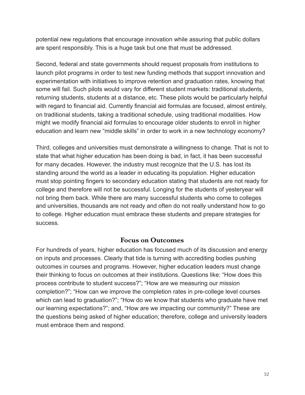potential new regulations that encourage innovation while assuring that public dollars are spent responsibly. This is a huge task but one that must be addressed.

Second, federal and state governments should request proposals from institutions to launch pilot programs in order to test new funding methods that support innovation and experimentation with initiatives to improve retention and graduation rates, knowing that some will fail. Such pilots would vary for different student markets: traditional students, returning students, students at a distance, etc. These pilots would be particularly helpful with regard to financial aid. Currently financial aid formulas are focused, almost entirely, on traditional students, taking a traditional schedule, using traditional modalities. How might we modify financial aid formulas to encourage older students to enroll in higher education and learn new "middle skills" in order to work in a new technology economy?

Third, colleges and universities must demonstrate a willingness to change. That is not to state that what higher education has been doing is bad, in fact, it has been successful for many decades. However, the industry must recognize that the U.S. has lost its standing around the world as a leader in educating its population. Higher education must stop pointing fingers to secondary education stating that students are not ready for college and therefore will not be successful. Longing for the students of yesteryear will not bring them back. While there are many successful students who come to colleges and universities, thousands are not ready and often do not really understand how to go to college. Higher education must embrace these students and prepare strategies for success.

#### **Focus on Outcomes**

For hundreds of years, higher education has focused much of its discussion and energy on inputs and processes. Clearly that tide is turning with accrediting bodies pushing outcomes in courses and programs. However, higher education leaders must change their thinking to focus on outcomes at their institutions. Questions like: "How does this process contribute to student success?"; "How are we measuring our mission completion?"; "How can we improve the completion rates in pre-college level courses which can lead to graduation?"; "How do we know that students who graduate have met our learning expectations?"; and, "How are we impacting our community?" These are the questions being asked of higher education; therefore, college and university leaders must embrace them and respond.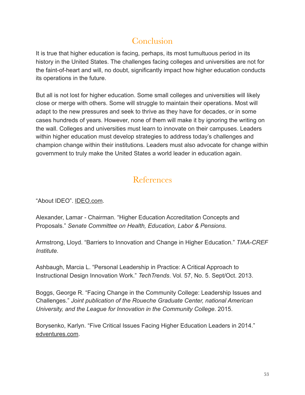# **Conclusion**

It is true that higher education is facing, perhaps, its most tumultuous period in its history in the United States. The challenges facing colleges and universities are not for the faint-of-heart and will, no doubt, significantly impact how higher education conducts its operations in the future.

But all is not lost for higher education. Some small colleges and universities will likely close or merge with others. Some will struggle to maintain their operations. Most will adapt to the new pressures and seek to thrive as they have for decades, or in some cases hundreds of years. However, none of them will make it by ignoring the writing on the wall. Colleges and universities must learn to innovate on their campuses. Leaders within higher education must develop strategies to address today's challenges and champion change within their institutions. Leaders must also advocate for change within government to truly make the United States a world leader in education again.

# **References**

"About IDEO". [IDEO.com](http://ideo.com).

Alexander, Lamar - Chairman. "Higher Education Accreditation Concepts and Proposals." *Senate Committee on Health, Education, Labor & Pensions*.

Armstrong, Lloyd. "Barriers to Innovation and Change in Higher Education." *TIAA-CREF Institute*.

Ashbaugh, Marcia L. "Personal Leadership in Practice: A Critical Approach to Instructional Design Innovation Work." *TechTrends*. Vol. 57, No. 5. Sept/Oct. 2013.

Boggs, George R. "Facing Change in the Community College: Leadership Issues and Challenges." *Joint publication of the Roueche Graduate Center, national American University, and the League for Innovation in the Community College*. 2015.

Borysenko, Karlyn. "Five Critical Issues Facing Higher Education Leaders in 2014." [edventures.com](http://edventures.com).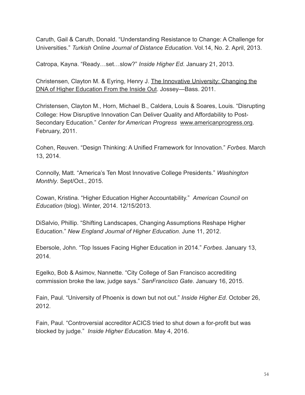Caruth, Gail & Caruth, Donald. "Understanding Resistance to Change: A Challenge for Universities." *Turkish Online Journal of Distance Education*. Vol.14, No. 2. April, 2013.

Catropa, Kayna. "Ready…set…slow?" *Inside Higher Ed*. January 21, 2013.

Christensen, Clayton M. & Eyring, Henry J. The Innovative University: Changing the DNA of Higher Education From the Inside Out. Jossey—Bass. 2011.

Christensen, Clayton M., Horn, Michael B., Caldera, Louis & Soares, Louis. "Disrupting College: How Disruptive Innovation Can Deliver Quality and Affordability to Post-Secondary Education." *Center for American Progress* [www.americanprogress.org](http://www.americanprogress.org). February, 2011.

Cohen, Reuven. "Design Thinking: A Unified Framework for Innovation." *Forbes*. March 13, 2014.

Connolly, Matt. "America's Ten Most Innovative College Presidents." *Washington Monthly*. Sept/Oct., 2015.

Cowan, Kristina. "Higher Education Higher Accountability." *American Council on Education* (blog). Winter, 2014. 12/15/2013.

DiSalvio, Phillip. "Shifting Landscapes, Changing Assumptions Reshape Higher Education." *New England Journal of Higher Education*. June 11, 2012.

Ebersole, John. "Top Issues Facing Higher Education in 2014." *Forbes*. January 13, 2014.

Egelko, Bob & Asimov, Nannette. "City College of San Francisco accrediting commission broke the law, judge says." *SanFrancisco Gate*. January 16, 2015.

Fain, Paul. "University of Phoenix is down but not out." *Inside Higher Ed*. October 26, 2012.

Fain, Paul. "Controversial accreditor ACICS tried to shut down a for-profit but was blocked by judge." *Inside Higher Education*. May 4, 2016.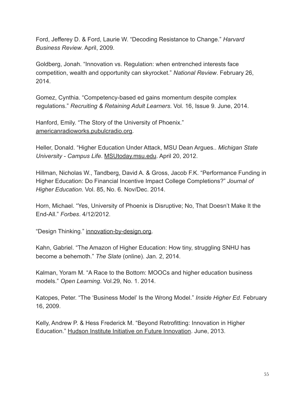Ford, Jefferey D. & Ford, Laurie W. "Decoding Resistance to Change." *Harvard Business Review*. April, 2009.

Goldberg, Jonah. "Innovation vs. Regulation: when entrenched interests face competition, wealth and opportunity can skyrocket." *National Review*. February 26, 2014.

Gomez, Cynthia. "Competency-based ed gains momentum despite complex regulations." *Recruiting & Retaining Adult Learners*. Vol. 16, Issue 9. June, 2014.

Hanford, Emily. "The Story of the University of Phoenix." [americanradioworks.pubulcradio.org](http://americanradioworks.pubulcradio.org).

Heller, Donald. "Higher Education Under Attack, MSU Dean Argues.. *Michigan State University - Campus Life*. [MSUtoday.msu.edu.](http://msutoday.msu.edu) April 20, 2012.

Hillman, Nicholas W., Tandberg, David A. & Gross, Jacob F.K. "Performance Funding in Higher Education: Do Financial Incentive Impact College Completions?" *Journal of Higher Education*. Vol. 85, No. 6. Nov/Dec. 2014.

Horn, Michael. "Yes, University of Phoenix is Disruptive; No, That Doesn't Make It the End-All." *Forbes*. 4/12/2012.

"Design Thinking." [innovation-by-design.org.](http://innovation-by-design.org)

Kahn, Gabriel. "The Amazon of Higher Education: How tiny, struggling SNHU has become a behemoth." *The Slate* (online). Jan. 2, 2014.

Kalman, Yoram M. "A Race to the Bottom: MOOCs and higher education business models." *Open Learning*. Vol.29, No. 1. 2014.

Katopes, Peter. "The 'Business Model' Is the Wrong Model." *Inside Higher Ed*. February 16, 2009.

Kelly, Andrew P. & Hess Frederick M. "Beyond Retrofitting: Innovation in Higher Education." Hudson Institute Initiative on Future Innovation. June, 2013.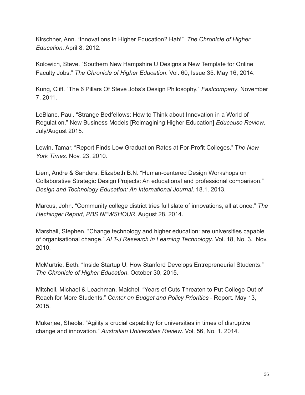Kirschner, Ann. "Innovations in Higher Education? Hah!" *The Chronicle of Higher Education*. April 8, 2012.

Kolowich, Steve. "Southern New Hampshire U Designs a New Template for Online Faculty Jobs." *The Chronicle of Higher Education*. Vol. 60, Issue 35. May 16, 2014.

Kung, Cliff. "The 6 Pillars Of Steve Jobs's Design Philosophy." *Fastcompany*. November 7, 2011.

LeBlanc, Paul. "Strange Bedfellows: How to Think about Innovation in a World of Regulation." New Business Models [Reimagining Higher Education] *Educause Review*. July/August 2015.

Lewin, Tamar. "Report Finds Low Graduation Rates at For-Profit Colleges." T*he New York Times*. Nov. 23, 2010.

Liem, Andre & Sanders, Elizabeth B.N. "Human-centered Design Workshops on Collaborative Strategic Design Projects: An educational and professional comparison." *Design and Technology Education: An International Journal*. 18.1. 2013,

Marcus, John. "Community college district tries full slate of innovations, all at once." *The Hechinger Report, PBS NEWSHOUR*. August 28, 2014.

Marshall, Stephen. "Change technology and higher education: are universities capable of organisational change." *ALT-J Research in Learning Technology*. Vol. 18, No. 3. Nov. 2010.

McMurtrie, Beth. "Inside Startup U: How Stanford Develops Entrepreneurial Students." *The Chronicle of Higher Education*. October 30, 2015.

Mitchell, Michael & Leachman, Maichel. "Years of Cuts Threaten to Put College Out of Reach for More Students." *Center on Budget and Policy Priorities* - Report. May 13, 2015.

Mukerjee, Sheola. "Agility a crucial capability for universities in times of disruptive change and innovation." *Australian Universities Review*. Vol. 56, No. 1. 2014.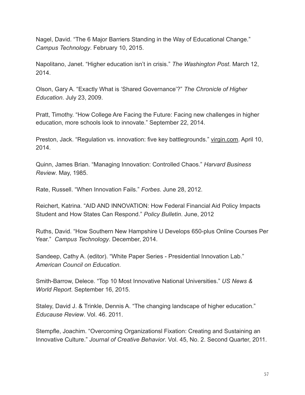Nagel, David. "The 6 Major Barriers Standing in the Way of Educational Change." *Campus Technology*. February 10, 2015.

Napolitano, Janet. "Higher education isn't in crisis." *The Washington Post*. March 12, 2014.

Olson, Gary A. "Exactly What is 'Shared Governance'?" *The Chronicle of Higher Education*. July 23, 2009.

Pratt, Timothy. "How College Are Facing the Future: Facing new challenges in higher education, more schools look to innovate." September 22, 2014.

Preston, Jack. "Regulation vs. innovation: five key battlegrounds." [virgin.com](http://virgin.com). April 10, 2014.

Quinn, James Brian. "Managing Innovation: Controlled Chaos." *Harvard Business Review*. May, 1985.

Rate, Russell. "When Innovation Fails." *Forbes*. June 28, 2012.

Reichert, Katrina. "AID AND INNOVATION: How Federal Financial Aid Policy Impacts Student and How States Can Respond." *Policy Bulletin*. June, 2012

Ruths, David. "How Southern New Hampshire U Develops 650-plus Online Courses Per Year." *Campus Technology*. December, 2014.

Sandeep, Cathy A. (editor). "White Paper Series - Presidential Innovation Lab." *American Council on Education*.

Smith-Barrow, Delece. "Top 10 Most Innovative National Universities." *US News & World Report*. September 16, 2015.

Staley, David J. & Trinkle, Dennis A. "The changing landscape of higher education." *Educause Review*. Vol. 46. 2011.

Stempfle, Joachim. "Overcoming Organizationsl Fixation: Creating and Sustaining an Innovative Culture." *Journal of Creative Behavior*. Vol. 45, No. 2. Second Quarter, 2011.